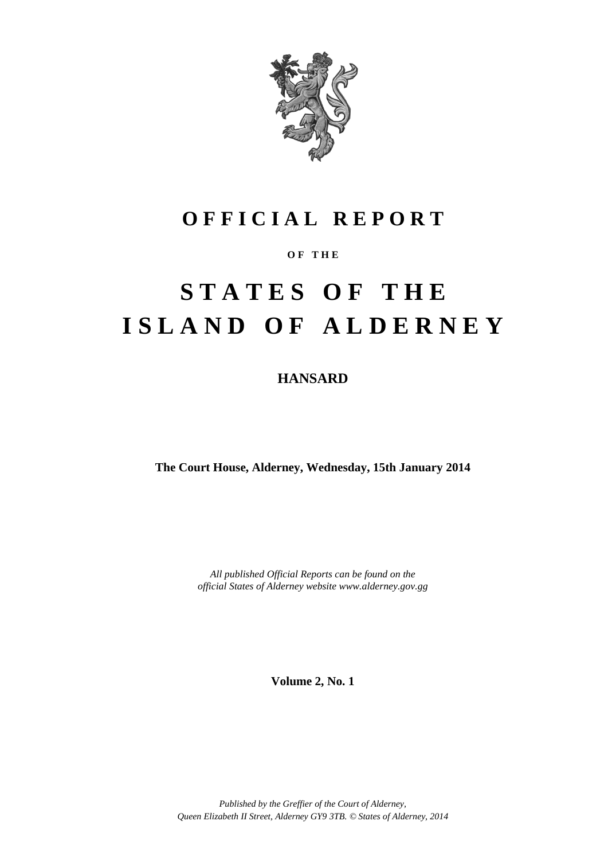

# **O F F I C I A L R E P O R T**

## **O F T H E**

# **S T A T E S O F T H E I S L A N D O F A L D E R N E Y**

**HANSARD**

**The Court House, Alderney, Wednesday, 15th January 2014**

*All published Official Reports can be found on the official States of Alderney website www.alderney.gov.gg*

**Volume 2, No. 1**

*Published by the Greffier of the Court of Alderney, Queen Elizabeth II Street, Alderney GY9 3TB. © States of Alderney, 2014*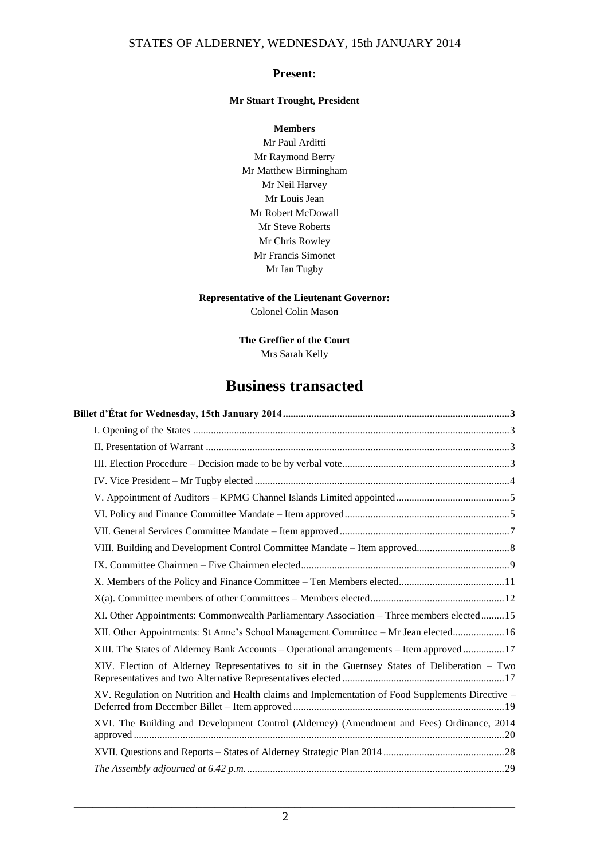### **Present:**

#### **Mr Stuart Trought, President**

**Members** Mr Paul Arditti Mr Raymond Berry Mr Matthew Birmingham Mr Neil Harvey Mr Louis Jean Mr Robert McDowall Mr Steve Roberts Mr Chris Rowley Mr Francis Simonet Mr Ian Tugby

#### **Representative of the Lieutenant Governor:**

Colonel Colin Mason

**The Greffier of the Court** Mrs Sarah Kelly

# **Business transacted**

| XI. Other Appointments: Commonwealth Parliamentary Association - Three members elected15         |
|--------------------------------------------------------------------------------------------------|
| XII. Other Appointments: St Anne's School Management Committee - Mr Jean elected 16              |
| XIII. The States of Alderney Bank Accounts – Operational arrangements – Item approved  17        |
| XIV. Election of Alderney Representatives to sit in the Guernsey States of Deliberation - Two    |
| XV. Regulation on Nutrition and Health claims and Implementation of Food Supplements Directive - |
| XVI. The Building and Development Control (Alderney) (Amendment and Fees) Ordinance, 2014        |
|                                                                                                  |
|                                                                                                  |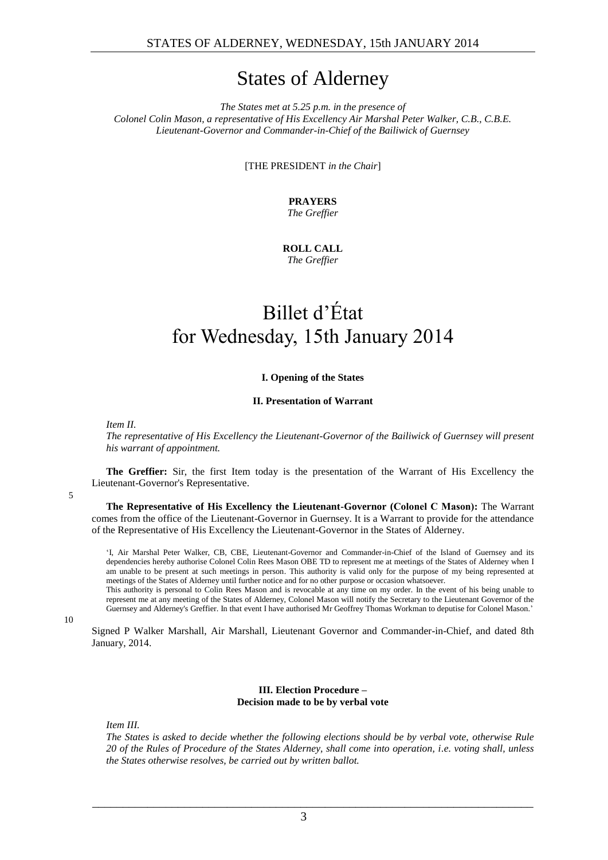# States of Alderney

*The States met at 5.25 p.m. in the presence of Colonel Colin Mason, a representative of His Excellency Air Marshal Peter Walker, C.B., C.B.E. Lieutenant-Governor and Commander-in-Chief of the Bailiwick of Guernsey*

[THE PRESIDENT *in the Chair*]

**PRAYERS** *The Greffier*

**ROLL CALL** *The Greffier*

# <span id="page-2-0"></span>Billet d'État for Wednesday, 15th January 2014

#### **I. Opening of the States**

#### **II. Presentation of Warrant**

<span id="page-2-2"></span><span id="page-2-1"></span>*Item II.*

*The representative of His Excellency the Lieutenant-Governor of the Bailiwick of Guernsey will present his warrant of appointment.*

**The Greffier:** Sir, the first Item today is the presentation of the Warrant of His Excellency the Lieutenant-Governor's Representative.

5

**The Representative of His Excellency the Lieutenant-Governor (Colonel C Mason):** The Warrant comes from the office of the Lieutenant-Governor in Guernsey. It is a Warrant to provide for the attendance of the Representative of His Excellency the Lieutenant-Governor in the States of Alderney.

'I, Air Marshal Peter Walker, CB, CBE, Lieutenant-Governor and Commander-in-Chief of the Island of Guernsey and its dependencies hereby authorise Colonel Colin Rees Mason OBE TD to represent me at meetings of the States of Alderney when I am unable to be present at such meetings in person. This authority is valid only for the purpose of my being represented at meetings of the States of Alderney until further notice and for no other purpose or occasion whatsoever.

This authority is personal to Colin Rees Mason and is revocable at any time on my order. In the event of his being unable to represent me at any meeting of the States of Alderney, Colonel Mason will notify the Secretary to the Lieutenant Governor of the Guernsey and Alderney's Greffier. In that event I have authorised Mr Geoffrey Thomas Workman to deputise for Colonel Mason.'

10

Signed P Walker Marshall, Air Marshall, Lieutenant Governor and Commander-in-Chief, and dated 8th January, 2014.

#### **III. Election Procedure – Decision made to be by verbal vote**

<span id="page-2-3"></span>*Item III.*

*The States is asked to decide whether the following elections should be by verbal vote, otherwise Rule 20 of the Rules of Procedure of the States Alderney, shall come into operation, i.e. voting shall, unless the States otherwise resolves, be carried out by written ballot.*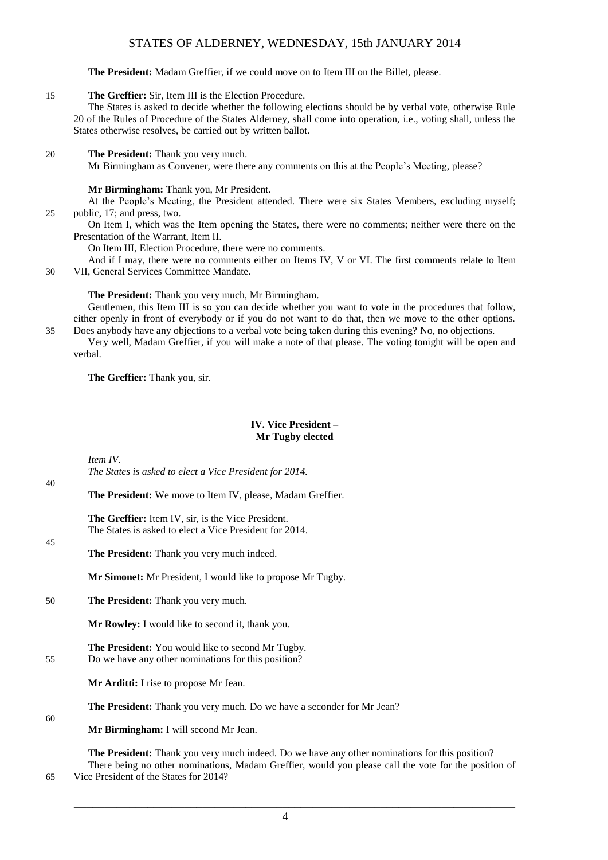#### **The President:** Madam Greffier, if we could move on to Item III on the Billet, please.

#### 15 **The Greffier:** Sir, Item III is the Election Procedure.

The States is asked to decide whether the following elections should be by verbal vote, otherwise Rule 20 of the Rules of Procedure of the States Alderney, shall come into operation, i.e., voting shall, unless the States otherwise resolves, be carried out by written ballot.

#### 20 **The President:** Thank you very much.

Mr Birmingham as Convener, were there any comments on this at the People's Meeting, please?

#### **Mr Birmingham:** Thank you, Mr President.

At the People's Meeting, the President attended. There were six States Members, excluding myself; 25 public, 17; and press, two.

On Item I, which was the Item opening the States, there were no comments; neither were there on the Presentation of the Warrant, Item II.

On Item III, Election Procedure, there were no comments.

And if I may, there were no comments either on Items IV, V or VI. The first comments relate to Item 30 VII, General Services Committee Mandate.

**The President:** Thank you very much, Mr Birmingham.

Gentlemen, this Item III is so you can decide whether you want to vote in the procedures that follow, either openly in front of everybody or if you do not want to do that, then we move to the other options. 35 Does anybody have any objections to a verbal vote being taken during this evening? No, no objections.

Very well, Madam Greffier, if you will make a note of that please. The voting tonight will be open and verbal.

**The Greffier:** Thank you, sir.

#### **IV. Vice President – Mr Tugby elected**

<span id="page-3-0"></span>*Item IV.*

 $40$ 

45

60

*The States is asked to elect a Vice President for 2014.*

**The President:** We move to Item IV, please, Madam Greffier.

**The Greffier:** Item IV, sir, is the Vice President. The States is asked to elect a Vice President for 2014.

**The President:** Thank you very much indeed.

**Mr Simonet:** Mr President, I would like to propose Mr Tugby.

50 **The President:** Thank you very much.

**Mr Rowley:** I would like to second it, thank you.

**The President:** You would like to second Mr Tugby. 55 Do we have any other nominations for this position?

**Mr Arditti:** I rise to propose Mr Jean.

**The President:** Thank you very much. Do we have a seconder for Mr Jean?

**Mr Birmingham:** I will second Mr Jean.

**The President:** Thank you very much indeed. Do we have any other nominations for this position? There being no other nominations, Madam Greffier, would you please call the vote for the position of

4

65 Vice President of the States for 2014?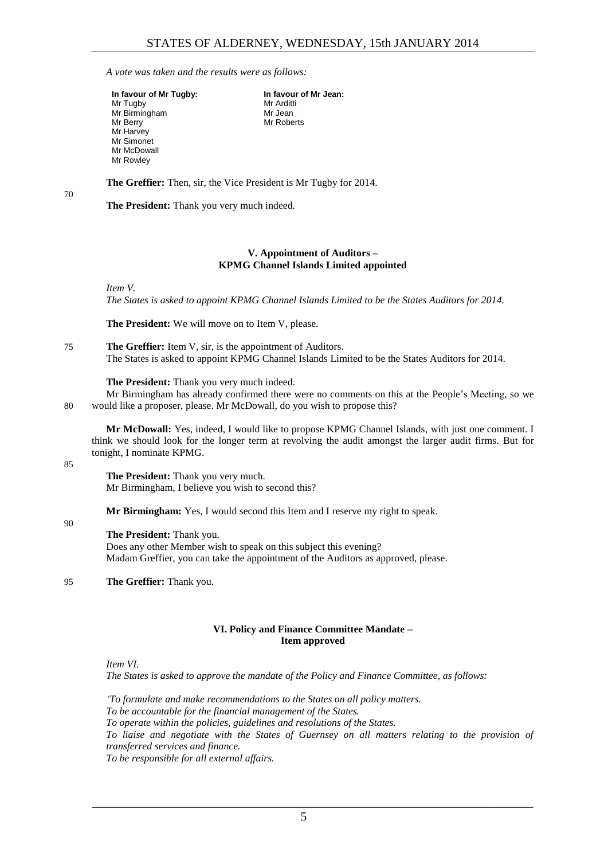**In favour of Mr Jean:**

Mr Arditti Mr Jean Mr Roberts

*A vote was taken and the results were as follows:*

| In favour of Mr Tugby: |
|------------------------|
| Mr Tugby               |
| Mr Birmingham          |
| Mr Berry               |
| Mr Harvey              |
| Mr Simonet             |
| Mr McDowall            |
| Mr Rowley              |

70

**The Greffier:** Then, sir, the Vice President is Mr Tugby for 2014.

**The President:** Thank you very much indeed.

#### **V. Appointment of Auditors – KPMG Channel Islands Limited appointed**

<span id="page-4-0"></span>*Item V.*

*The States is asked to appoint KPMG Channel Islands Limited to be the States Auditors for 2014.*

**The President:** We will move on to Item V, please.

75 **The Greffier:** Item V, sir, is the appointment of Auditors. The States is asked to appoint KPMG Channel Islands Limited to be the States Auditors for 2014.

**The President:** Thank you very much indeed.

Mr Birmingham has already confirmed there were no comments on this at the People's Meeting, so we 80 would like a proposer, please. Mr McDowall, do you wish to propose this?

**Mr McDowall:** Yes, indeed, I would like to propose KPMG Channel Islands, with just one comment. I think we should look for the longer term at revolving the audit amongst the larger audit firms. But for tonight, I nominate KPMG.

85

90

**The President:** Thank you very much. Mr Birmingham, I believe you wish to second this?

**Mr Birmingham:** Yes, I would second this Item and I reserve my right to speak.

#### **The President:** Thank you.

Does any other Member wish to speak on this subject this evening? Madam Greffier, you can take the appointment of the Auditors as approved, please.

95 **The Greffier:** Thank you.

#### **VI. Policy and Finance Committee Mandate – Item approved**

<span id="page-4-1"></span>*Item VI.*

*The States is asked to approve the mandate of the Policy and Finance Committee, as follows:*

*'To formulate and make recommendations to the States on all policy matters. To be accountable for the financial management of the States. To operate within the policies, guidelines and resolutions of the States. To liaise and negotiate with the States of Guernsey on all matters relating to the provision of transferred services and finance. To be responsible for all external affairs.*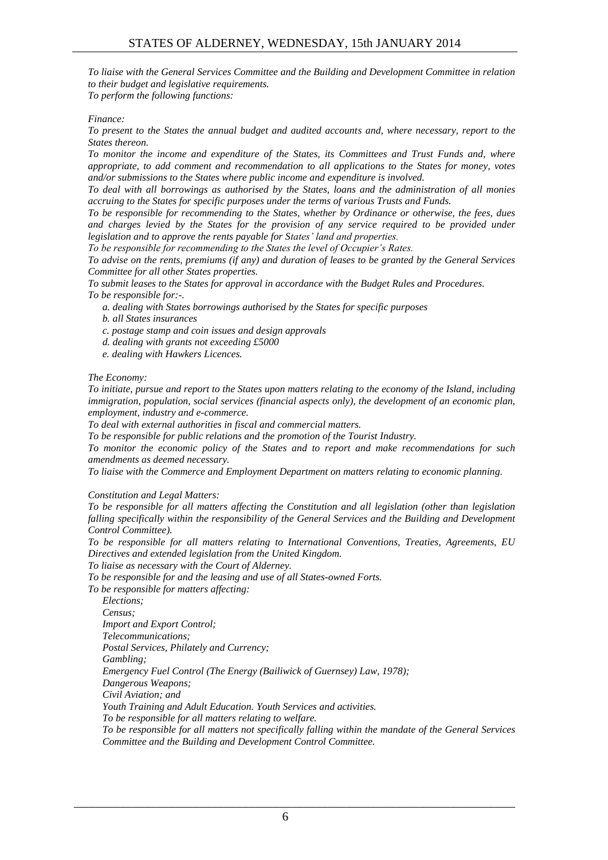*To liaise with the General Services Committee and the Building and Development Committee in relation to their budget and legislative requirements. To perform the following functions:*

*Finance:*

*To present to the States the annual budget and audited accounts and, where necessary, report to the States thereon.* 

*To monitor the income and expenditure of the States, its Committees and Trust Funds and, where appropriate, to add comment and recommendation to all applications to the States for money, votes and/or submissions to the States where public income and expenditure is involved.* 

*To deal with all borrowings as authorised by the States, loans and the administration of all monies accruing to the States for specific purposes under the terms of various Trusts and Funds.* 

*To be responsible for recommending to the States, whether by Ordinance or otherwise, the fees, dues and charges levied by the States for the provision of any service required to be provided under legislation and to approve the rents payable for States' land and properties.* 

*To be responsible for recommending to the States the level of Occupier's Rates.* 

*To advise on the rents, premiums (if any) and duration of leases to be granted by the General Services Committee for all other States properties.* 

*To submit leases to the States for approval in accordance with the Budget Rules and Procedures. To be responsible for:-.* 

*a. dealing with States borrowings authorised by the States for specific purposes* 

*b. all States insurances* 

*c. postage stamp and coin issues and design approvals* 

*d. dealing with grants not exceeding £5000* 

*e. dealing with Hawkers Licences.* 

*The Economy:* 

*To initiate, pursue and report to the States upon matters relating to the economy of the Island, including immigration, population, social services (financial aspects only), the development of an economic plan, employment, industry and e-commerce.* 

*To deal with external authorities in fiscal and commercial matters.*

*To be responsible for public relations and the promotion of the Tourist Industry.* 

*To monitor the economic policy of the States and to report and make recommendations for such amendments as deemed necessary.* 

*To liaise with the Commerce and Employment Department on matters relating to economic planning.*

*Constitution and Legal Matters:*

*To be responsible for all matters affecting the Constitution and all legislation (other than legislation*  falling specifically within the responsibility of the General Services and the Building and Development *Control Committee).* 

*To be responsible for all matters relating to International Conventions, Treaties, Agreements, EU Directives and extended legislation from the United Kingdom.* 

*To liaise as necessary with the Court of Alderney.* 

*To be responsible for and the leasing and use of all States-owned Forts.* 

*To be responsible for matters affecting:*

*Elections;* 

*Census; Import and Export Control; Telecommunications; Postal Services, Philately and Currency; Gambling; Emergency Fuel Control (The Energy (Bailiwick of Guernsey) Law, 1978); Dangerous Weapons; Civil Aviation; and Youth Training and Adult Education. Youth Services and activities. To be responsible for all matters relating to welfare. To be responsible for all matters not specifically falling within the mandate of the General Services Committee and the Building and Development Control Committee.*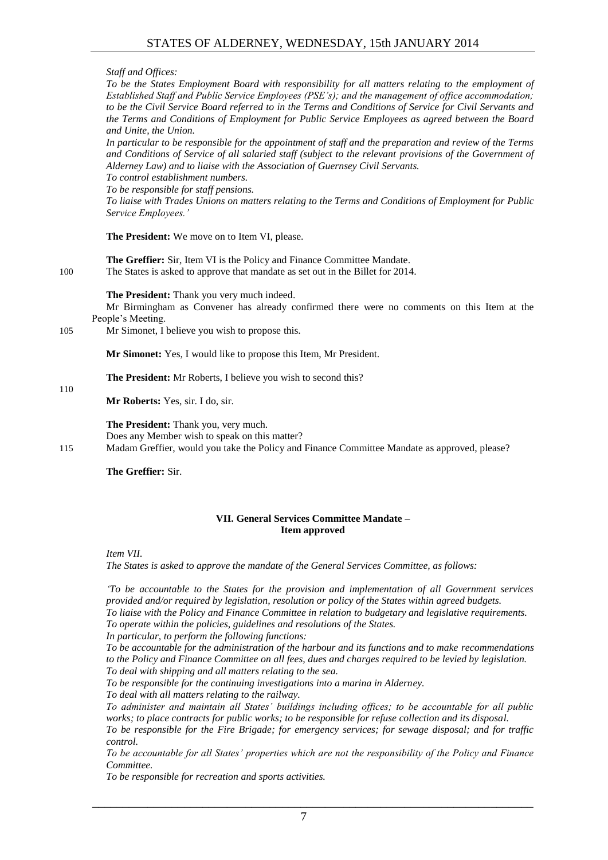*Staff and Offices:* 

*To be the States Employment Board with responsibility for all matters relating to the employment of Established Staff and Public Service Employees (PSE's); and the management of office accommodation; to be the Civil Service Board referred to in the Terms and Conditions of Service for Civil Servants and the Terms and Conditions of Employment for Public Service Employees as agreed between the Board and Unite, the Union.* 

*In particular to be responsible for the appointment of staff and the preparation and review of the Terms and Conditions of Service of all salaried staff (subject to the relevant provisions of the Government of Alderney Law) and to liaise with the Association of Guernsey Civil Servants.* 

*To control establishment numbers.* 

*To be responsible for staff pensions.*

*To liaise with Trades Unions on matters relating to the Terms and Conditions of Employment for Public Service Employees.'*

**The President:** We move on to Item VI, please.

**The Greffier:** Sir, Item VI is the Policy and Finance Committee Mandate. 100 The States is asked to approve that mandate as set out in the Billet for 2014.

**The President:** Thank you very much indeed.

Mr Birmingham as Convener has already confirmed there were no comments on this Item at the People's Meeting.

105 Mr Simonet, I believe you wish to propose this.

**Mr Simonet:** Yes, I would like to propose this Item, Mr President.

**The President:** Mr Roberts, I believe you wish to second this?

**Mr Roberts:** Yes, sir. I do, sir.

**The President:** Thank you, very much. Does any Member wish to speak on this matter? 115 Madam Greffier, would you take the Policy and Finance Committee Mandate as approved, please?

**The Greffier:** Sir.

#### **VII. General Services Committee Mandate – Item approved**

<span id="page-6-0"></span>*Item VII.*

110

*The States is asked to approve the mandate of the General Services Committee, as follows:*

*'To be accountable to the States for the provision and implementation of all Government services provided and/or required by legislation, resolution or policy of the States within agreed budgets. To liaise with the Policy and Finance Committee in relation to budgetary and legislative requirements. To operate within the policies, guidelines and resolutions of the States.* 

*In particular, to perform the following functions:*

*To be accountable for the administration of the harbour and its functions and to make recommendations to the Policy and Finance Committee on all fees, dues and charges required to be levied by legislation. To deal with shipping and all matters relating to the sea.* 

*To be responsible for the continuing investigations into a marina in Alderney.* 

*To deal with all matters relating to the railway.* 

*To administer and maintain all States' buildings including offices; to be accountable for all public works; to place contracts for public works; to be responsible for refuse collection and its disposal.* 

*To be responsible for the Fire Brigade; for emergency services; for sewage disposal; and for traffic control.* 

*To be accountable for all States' properties which are not the responsibility of the Policy and Finance Committee.* 

*To be responsible for recreation and sports activities.*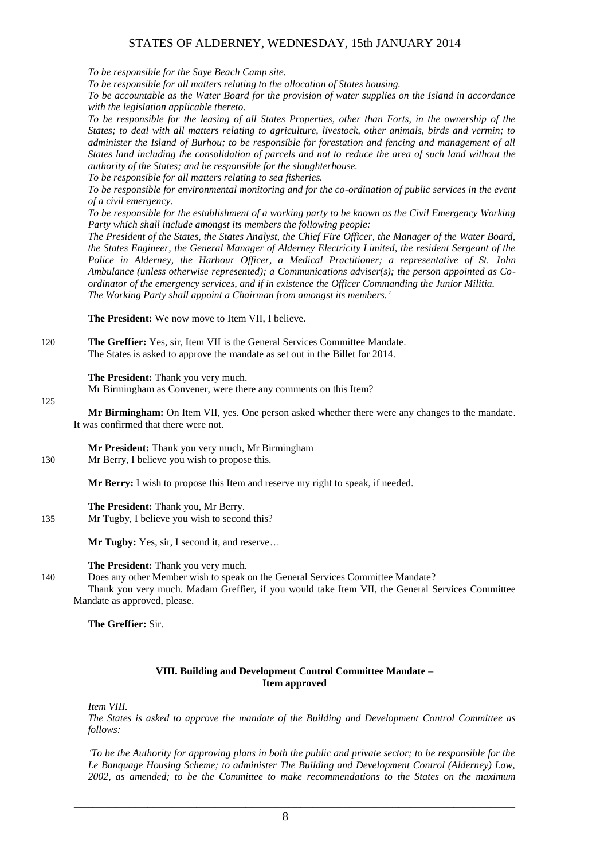*To be responsible for the Saye Beach Camp site.* 

*To be responsible for all matters relating to the allocation of States housing.* 

*To be accountable as the Water Board for the provision of water supplies on the Island in accordance with the legislation applicable thereto.* 

*To be responsible for the leasing of all States Properties, other than Forts, in the ownership of the States; to deal with all matters relating to agriculture, livestock, other animals, birds and vermin; to administer the Island of Burhou; to be responsible for forestation and fencing and management of all States land including the consolidation of parcels and not to reduce the area of such land without the authority of the States; and be responsible for the slaughterhouse.* 

*To be responsible for all matters relating to sea fisheries.*

*To be responsible for environmental monitoring and for the co-ordination of public services in the event of a civil emergency.* 

*To be responsible for the establishment of a working party to be known as the Civil Emergency Working Party which shall include amongst its members the following people:*

*The President of the States, the States Analyst, the Chief Fire Officer, the Manager of the Water Board, the States Engineer, the General Manager of Alderney Electricity Limited, the resident Sergeant of the Police in Alderney, the Harbour Officer, a Medical Practitioner; a representative of St. John Ambulance (unless otherwise represented); a Communications adviser(s); the person appointed as Coordinator of the emergency services, and if in existence the Officer Commanding the Junior Militia. The Working Party shall appoint a Chairman from amongst its members.'*

**The President:** We now move to Item VII, I believe.

120 **The Greffier:** Yes, sir, Item VII is the General Services Committee Mandate. The States is asked to approve the mandate as set out in the Billet for 2014.

**The President:** Thank you very much.

Mr Birmingham as Convener, were there any comments on this Item?

125

**Mr Birmingham:** On Item VII, yes. One person asked whether there were any changes to the mandate. It was confirmed that there were not.

**Mr President:** Thank you very much, Mr Birmingham 130 Mr Berry, I believe you wish to propose this.

**Mr Berry:** I wish to propose this Item and reserve my right to speak, if needed.

**The President:** Thank you, Mr Berry. 135 Mr Tugby, I believe you wish to second this?

**Mr Tugby:** Yes, sir, I second it, and reserve…

**The President:** Thank you very much.

140 Does any other Member wish to speak on the General Services Committee Mandate?

Thank you very much. Madam Greffier, if you would take Item VII, the General Services Committee Mandate as approved, please.

#### **The Greffier:** Sir.

#### **VIII. Building and Development Control Committee Mandate – Item approved**

<span id="page-7-0"></span>*Item VIII.*

*The States is asked to approve the mandate of the Building and Development Control Committee as follows:*

*'To be the Authority for approving plans in both the public and private sector; to be responsible for the Le Banquage Housing Scheme; to administer The Building and Development Control (Alderney) Law, 2002, as amended; to be the Committee to make recommendations to the States on the maximum*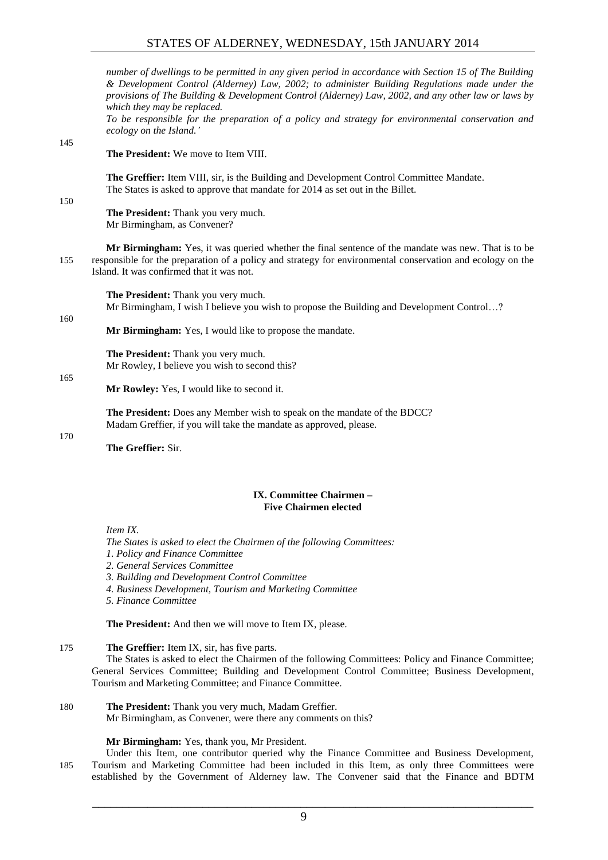*number of dwellings to be permitted in any given period in accordance with Section 15 of The Building & Development Control (Alderney) Law, 2002; to administer Building Regulations made under the provisions of The Building & Development Control (Alderney) Law, 2002, and any other law or laws by which they may be replaced.* 

*To be responsible for the preparation of a policy and strategy for environmental conservation and ecology on the Island.'*

#### 145

**The President:** We move to Item VIII.

**The Greffier:** Item VIII, sir, is the Building and Development Control Committee Mandate. The States is asked to approve that mandate for 2014 as set out in the Billet.

150

160

165

**The President:** Thank you very much. Mr Birmingham, as Convener?

**Mr Birmingham:** Yes, it was queried whether the final sentence of the mandate was new. That is to be 155 responsible for the preparation of a policy and strategy for environmental conservation and ecology on the Island. It was confirmed that it was not.

**The President:** Thank you very much. Mr Birmingham, I wish I believe you wish to propose the Building and Development Control…?

**Mr Birmingham:** Yes, I would like to propose the mandate.

**The President:** Thank you very much. Mr Rowley, I believe you wish to second this?

**Mr Rowley:** Yes, I would like to second it.

**The President:** Does any Member wish to speak on the mandate of the BDCC? Madam Greffier, if you will take the mandate as approved, please.

170

**The Greffier:** Sir.

#### **IX. Committee Chairmen – Five Chairmen elected**

<span id="page-8-0"></span>*Item IX.*

*The States is asked to elect the Chairmen of the following Committees: 1. Policy and Finance Committee 2. General Services Committee 3. Building and Development Control Committee 4. Business Development, Tourism and Marketing Committee 5. Finance Committee* 

**The President:** And then we will move to Item IX, please.

175 **The Greffier:** Item IX, sir, has five parts.

The States is asked to elect the Chairmen of the following Committees: Policy and Finance Committee; General Services Committee; Building and Development Control Committee; Business Development, Tourism and Marketing Committee; and Finance Committee.

180 **The President:** Thank you very much, Madam Greffier.

Mr Birmingham, as Convener, were there any comments on this?

**Mr Birmingham:** Yes, thank you, Mr President.

Under this Item, one contributor queried why the Finance Committee and Business Development, 185 Tourism and Marketing Committee had been included in this Item, as only three Committees were established by the Government of Alderney law. The Convener said that the Finance and BDTM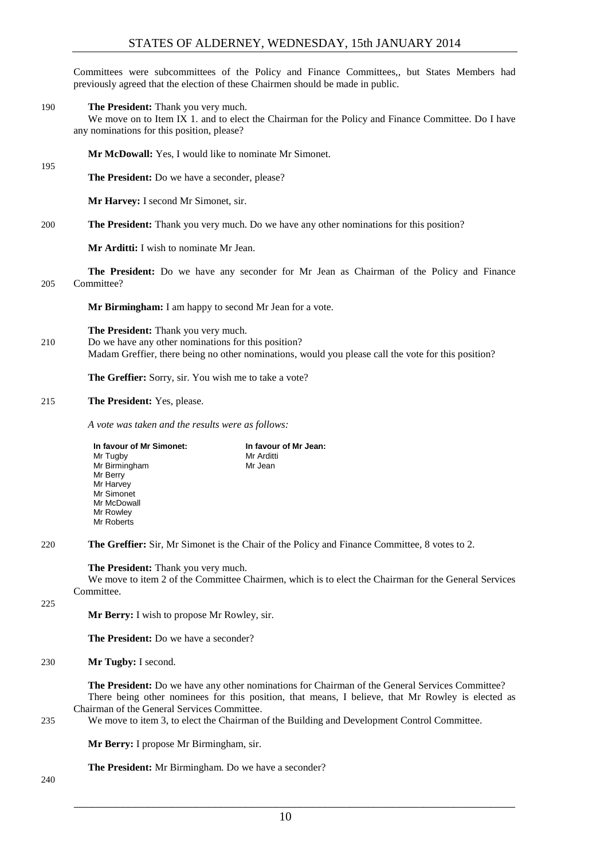Committees were subcommittees of the Policy and Finance Committees,, but States Members had previously agreed that the election of these Chairmen should be made in public.

190 **The President:** Thank you very much.

We move on to Item IX 1. and to elect the Chairman for the Policy and Finance Committee. Do I have any nominations for this position, please?

**Mr McDowall:** Yes, I would like to nominate Mr Simonet.

**The President:** Do we have a seconder, please?

**Mr Harvey:** I second Mr Simonet, sir.

200 **The President:** Thank you very much. Do we have any other nominations for this position?

**Mr Arditti:** I wish to nominate Mr Jean.

**The President:** Do we have any seconder for Mr Jean as Chairman of the Policy and Finance 205 Committee?

**Mr Birmingham:** I am happy to second Mr Jean for a vote.

**The President:** Thank you very much.

210 Do we have any other nominations for this position? Madam Greffier, there being no other nominations, would you please call the vote for this position?

**The Greffier:** Sorry, sir. You wish me to take a vote?

#### 215 **The President:** Yes, please.

*A vote was taken and the results were as follows:*

| In favour of Mr Simonet: | In favour of Mr Jean: |
|--------------------------|-----------------------|
| Mr Tugby                 | Mr Arditti            |
| Mr Birmingham            | Mr Jean               |
| Mr Berry                 |                       |
| Mr Harvey                |                       |
| Mr Simonet               |                       |
| Mr McDowall              |                       |
| Mr Rowley                |                       |
| Mr Roberts               |                       |

220 **The Greffier:** Sir, Mr Simonet is the Chair of the Policy and Finance Committee, 8 votes to 2.

#### **The President:** Thank you very much.

We move to item 2 of the Committee Chairmen, which is to elect the Chairman for the General Services Committee.

 $225$ 

195

**Mr Berry:** I wish to propose Mr Rowley, sir.

**The President:** Do we have a seconder?

230 **Mr Tugby:** I second.

**The President:** Do we have any other nominations for Chairman of the General Services Committee? There being other nominees for this position, that means, I believe, that Mr Rowley is elected as Chairman of the General Services Committee.

235 We move to item 3, to elect the Chairman of the Building and Development Control Committee.

**Mr Berry:** I propose Mr Birmingham, sir.

**The President:** Mr Birmingham. Do we have a seconder?

240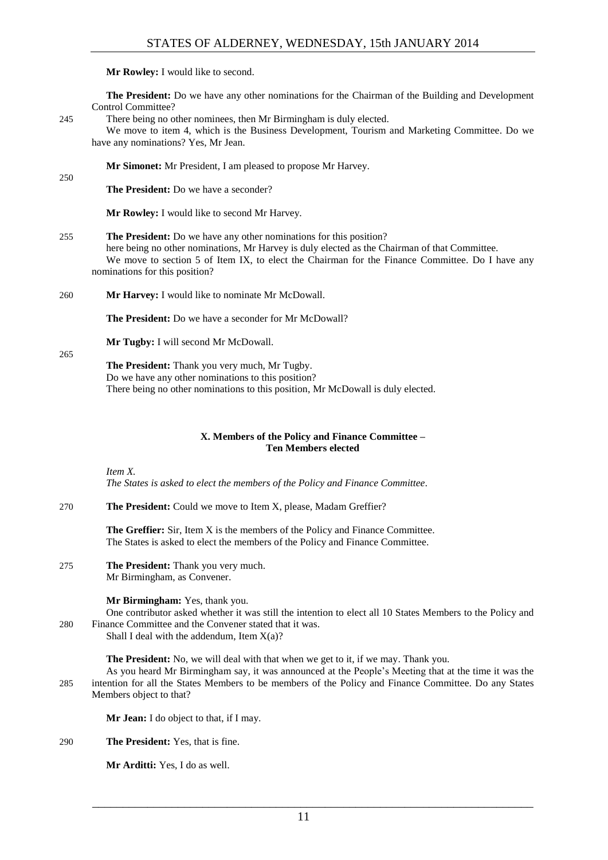**Mr Rowley:** I would like to second.

**The President:** Do we have any other nominations for the Chairman of the Building and Development Control Committee?

245 There being no other nominees, then Mr Birmingham is duly elected.

We move to item 4, which is the Business Development, Tourism and Marketing Committee. Do we have any nominations? Yes, Mr Jean.

**Mr Simonet:** Mr President, I am pleased to propose Mr Harvey.

250

**The President:** Do we have a seconder?

**Mr Rowley:** I would like to second Mr Harvey.

#### 255 **The President:** Do we have any other nominations for this position?

here being no other nominations, Mr Harvey is duly elected as the Chairman of that Committee. We move to section 5 of Item IX, to elect the Chairman for the Finance Committee. Do I have any nominations for this position?

260 **Mr Harvey:** I would like to nominate Mr McDowall.

**The President:** Do we have a seconder for Mr McDowall?

**Mr Tugby:** I will second Mr McDowall.

265

**The President:** Thank you very much, Mr Tugby. Do we have any other nominations to this position? There being no other nominations to this position, Mr McDowall is duly elected.

#### **X. Members of the Policy and Finance Committee – Ten Members elected**

<span id="page-10-0"></span>*Item X.*

*The States is asked to elect the members of the Policy and Finance Committee.*

270 **The President:** Could we move to Item X, please, Madam Greffier?

**The Greffier:** Sir, Item X is the members of the Policy and Finance Committee. The States is asked to elect the members of the Policy and Finance Committee.

275 **The President:** Thank you very much. Mr Birmingham, as Convener.

**Mr Birmingham:** Yes, thank you.

One contributor asked whether it was still the intention to elect all 10 States Members to the Policy and 280 Finance Committee and the Convener stated that it was.

Shall I deal with the addendum, Item  $X(a)$ ?

**The President:** No, we will deal with that when we get to it, if we may. Thank you.

As you heard Mr Birmingham say, it was announced at the People's Meeting that at the time it was the 285 intention for all the States Members to be members of the Policy and Finance Committee. Do any States Members object to that?

**Mr Jean:** I do object to that, if I may.

290 **The President:** Yes, that is fine.

**Mr Arditti:** Yes, I do as well.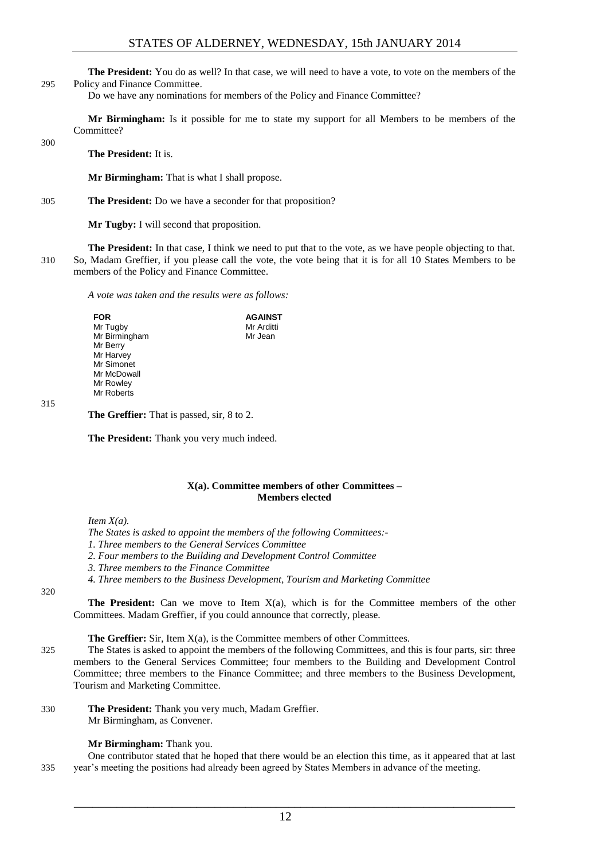**The President:** You do as well? In that case, we will need to have a vote, to vote on the members of the 295 Policy and Finance Committee.

Do we have any nominations for members of the Policy and Finance Committee?

**Mr Birmingham:** Is it possible for me to state my support for all Members to be members of the Committee?

300

**The President:** It is.

**Mr Birmingham:** That is what I shall propose.

305 **The President:** Do we have a seconder for that proposition?

**Mr Tugby:** I will second that proposition.

**The President:** In that case, I think we need to put that to the vote, as we have people objecting to that. 310 So, Madam Greffier, if you please call the vote, the vote being that it is for all 10 States Members to be members of the Policy and Finance Committee.

*A vote was taken and the results were as follows:*

**FOR**  Mr Tugby Mr Birmingham Mr Berry Mr Harvey Mr Simonet Mr McDowall Mr Rowley Mr Roberts **AGAINST** Mr Arditti Mr Jean

315

**The Greffier:** That is passed, sir, 8 to 2.

**The President:** Thank you very much indeed.

#### **X(a). Committee members of other Committees – Members elected**

<span id="page-11-0"></span>*Item X(a).*

*The States is asked to appoint the members of the following Committees:-*

- *1. Three members to the General Services Committee*
- *2. Four members to the Building and Development Control Committee*
- *3. Three members to the Finance Committee*
- *4. Three members to the Business Development, Tourism and Marketing Committee*

320

**The President:** Can we move to Item X(a), which is for the Committee members of the other Committees. Madam Greffier, if you could announce that correctly, please.

**The Greffier:** Sir, Item  $X(a)$ , is the Committee members of other Committees.

325 The States is asked to appoint the members of the following Committees, and this is four parts, sir: three members to the General Services Committee; four members to the Building and Development Control Committee; three members to the Finance Committee; and three members to the Business Development, Tourism and Marketing Committee.

330 **The President:** Thank you very much, Madam Greffier. Mr Birmingham, as Convener.

#### **Mr Birmingham:** Thank you.

One contributor stated that he hoped that there would be an election this time, as it appeared that at last 335 year's meeting the positions had already been agreed by States Members in advance of the meeting.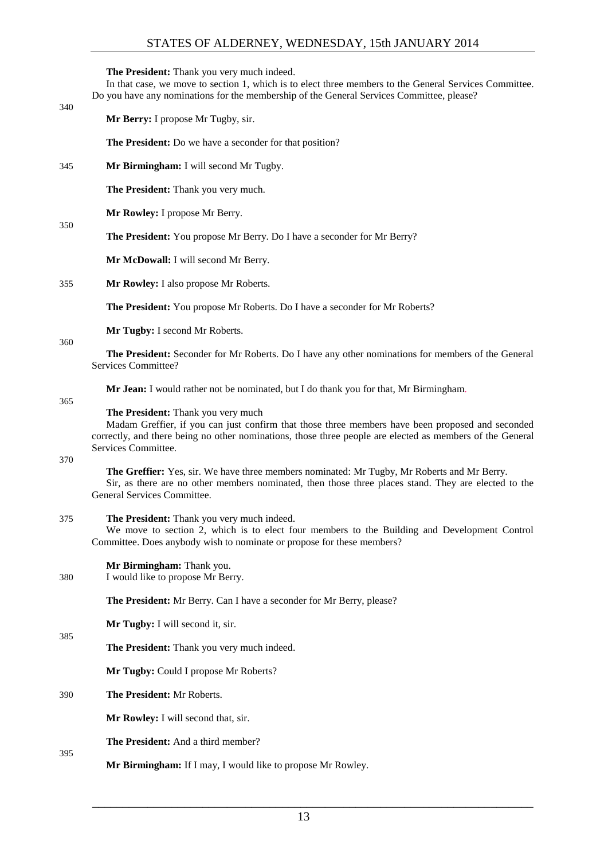**The President:** Thank you very much indeed.

In that case, we move to section 1, which is to elect three members to the General Services Committee. Do you have any nominations for the membership of the General Services Committee, please?

#### 340

350

**Mr Berry:** I propose Mr Tugby, sir.

**The President:** Do we have a seconder for that position?

345 **Mr Birmingham:** I will second Mr Tugby.

**The President:** Thank you very much.

**Mr Rowley:** I propose Mr Berry.

**The President:** You propose Mr Berry. Do I have a seconder for Mr Berry?

**Mr McDowall:** I will second Mr Berry.

355 **Mr Rowley:** I also propose Mr Roberts.

**The President:** You propose Mr Roberts. Do I have a seconder for Mr Roberts?

**Mr Tugby:** I second Mr Roberts.

360

**The President:** Seconder for Mr Roberts. Do I have any other nominations for members of the General Services Committee?

**Mr Jean:** I would rather not be nominated, but I do thank you for that, Mr Birmingham*.*

365

#### **The President:** Thank you very much

Madam Greffier, if you can just confirm that those three members have been proposed and seconded correctly, and there being no other nominations, those three people are elected as members of the General Services Committee.

370

385

395

**The Greffier:** Yes, sir. We have three members nominated: Mr Tugby, Mr Roberts and Mr Berry. Sir, as there are no other members nominated, then those three places stand. They are elected to the General Services Committee.

#### 375 **The President:** Thank you very much indeed.

We move to section 2, which is to elect four members to the Building and Development Control Committee. Does anybody wish to nominate or propose for these members?

**Mr Birmingham:** Thank you.

380 I would like to propose Mr Berry.

**The President:** Mr Berry. Can I have a seconder for Mr Berry, please?

**Mr Tugby:** I will second it, sir.

**The President:** Thank you very much indeed.

**Mr Tugby:** Could I propose Mr Roberts?

#### 390 **The President:** Mr Roberts.

**Mr Rowley:** I will second that, sir.

**The President:** And a third member?

**Mr Birmingham:** If I may, I would like to propose Mr Rowley.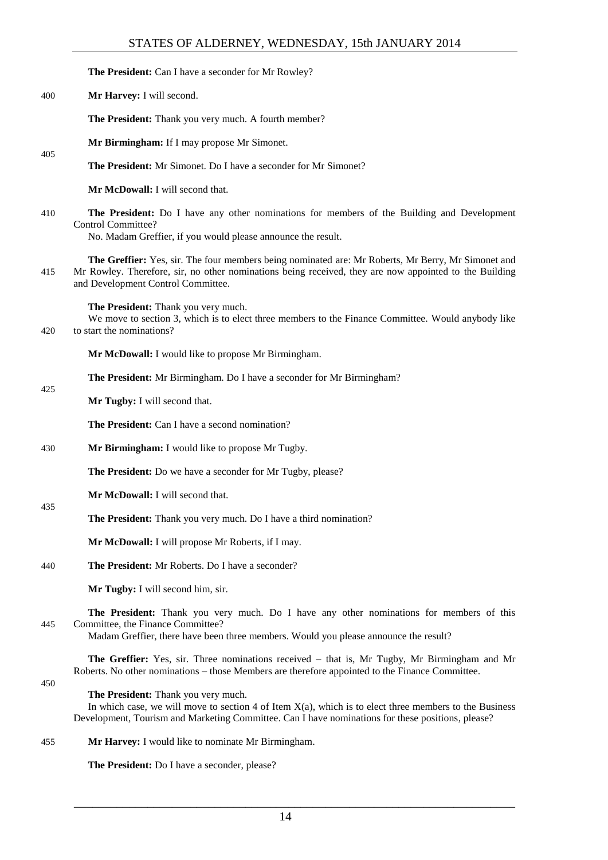**The President:** Can I have a seconder for Mr Rowley? 400 **Mr Harvey:** I will second. **The President:** Thank you very much. A fourth member? **Mr Birmingham:** If I may propose Mr Simonet. 405 **The President:** Mr Simonet. Do I have a seconder for Mr Simonet? **Mr McDowall:** I will second that. 410 **The President:** Do I have any other nominations for members of the Building and Development Control Committee? No. Madam Greffier, if you would please announce the result. **The Greffier:** Yes, sir. The four members being nominated are: Mr Roberts, Mr Berry, Mr Simonet and 415 Mr Rowley. Therefore, sir, no other nominations being received, they are now appointed to the Building and Development Control Committee. **The President:** Thank you very much. We move to section 3, which is to elect three members to the Finance Committee. Would anybody like 420 to start the nominations? **Mr McDowall:** I would like to propose Mr Birmingham. **The President:** Mr Birmingham. Do I have a seconder for Mr Birmingham? 425 **Mr Tugby:** I will second that. The President: Can I have a second nomination? 430 **Mr Birmingham:** I would like to propose Mr Tugby. **The President:** Do we have a seconder for Mr Tugby, please? **Mr McDowall:** I will second that. 435 **The President:** Thank you very much. Do I have a third nomination? **Mr McDowall:** I will propose Mr Roberts, if I may. 440 **The President:** Mr Roberts. Do I have a seconder? **Mr Tugby:** I will second him, sir. **The President:** Thank you very much. Do I have any other nominations for members of this 445 Committee, the Finance Committee? Madam Greffier, there have been three members. Would you please announce the result? **The Greffier:** Yes, sir. Three nominations received – that is, Mr Tugby, Mr Birmingham and Mr Roberts. No other nominations – those Members are therefore appointed to the Finance Committee. 450 **The President:** Thank you very much. In which case, we will move to section 4 of Item  $X(a)$ , which is to elect three members to the Business Development, Tourism and Marketing Committee. Can I have nominations for these positions, please? 455 **Mr Harvey:** I would like to nominate Mr Birmingham. **The President:** Do I have a seconder, please?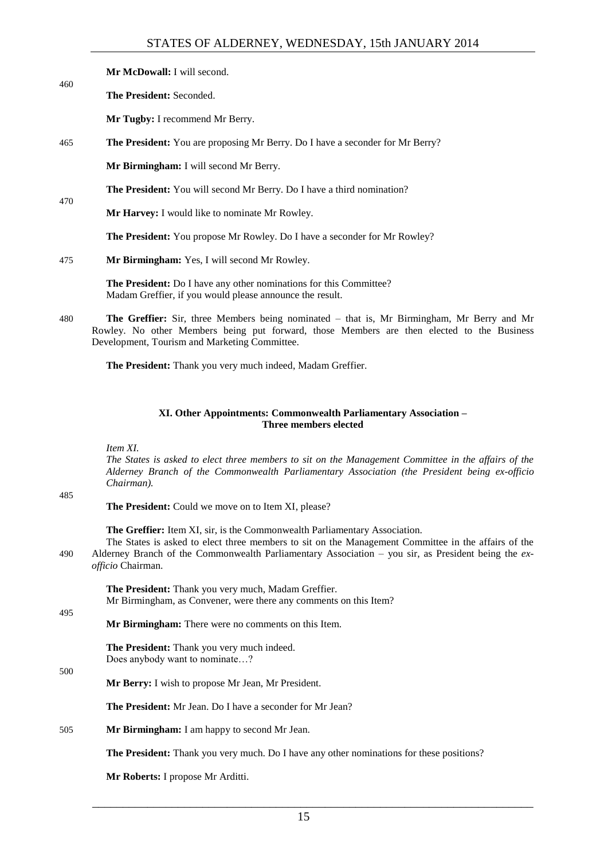|     | <b>Mr McDowall:</b> I will second.                                                   |  |  |
|-----|--------------------------------------------------------------------------------------|--|--|
| 460 | <b>The President:</b> Seconded.                                                      |  |  |
|     | <b>Mr Tugby:</b> I recommend Mr Berry.                                               |  |  |
| 465 | <b>The President:</b> You are proposing Mr Berry. Do I have a seconder for Mr Berry? |  |  |

**Mr Birmingham:** I will second Mr Berry.

**The President:** You will second Mr Berry. Do I have a third nomination?

**Mr Harvey:** I would like to nominate Mr Rowley.

**The President:** You propose Mr Rowley. Do I have a seconder for Mr Rowley?

475 **Mr Birmingham:** Yes, I will second Mr Rowley.

**The President:** Do I have any other nominations for this Committee? Madam Greffier, if you would please announce the result.

480 **The Greffier:** Sir, three Members being nominated – that is, Mr Birmingham, Mr Berry and Mr Rowley. No other Members being put forward, those Members are then elected to the Business Development, Tourism and Marketing Committee.

**The President:** Thank you very much indeed, Madam Greffier.

#### **XI. Other Appointments: Commonwealth Parliamentary Association – Three members elected**

<span id="page-14-0"></span>*Item XI.*

*The States is asked to elect three members to sit on the Management Committee in the affairs of the Alderney Branch of the Commonwealth Parliamentary Association (the President being ex-officio Chairman).*

485

470

**The President:** Could we move on to Item XI, please?

**The Greffier:** Item XI, sir, is the Commonwealth Parliamentary Association.

The States is asked to elect three members to sit on the Management Committee in the affairs of the 490 Alderney Branch of the Commonwealth Parliamentary Association – you sir, as President being the *exofficio* Chairman.

**The President:** Thank you very much, Madam Greffier. Mr Birmingham, as Convener, were there any comments on this Item?

495

**Mr Birmingham:** There were no comments on this Item.

**The President:** Thank you very much indeed. Does anybody want to nominate…?

500

**Mr Berry:** I wish to propose Mr Jean, Mr President.

**The President:** Mr Jean. Do I have a seconder for Mr Jean?

505 **Mr Birmingham:** I am happy to second Mr Jean.

**The President:** Thank you very much. Do I have any other nominations for these positions?

**Mr Roberts:** I propose Mr Arditti.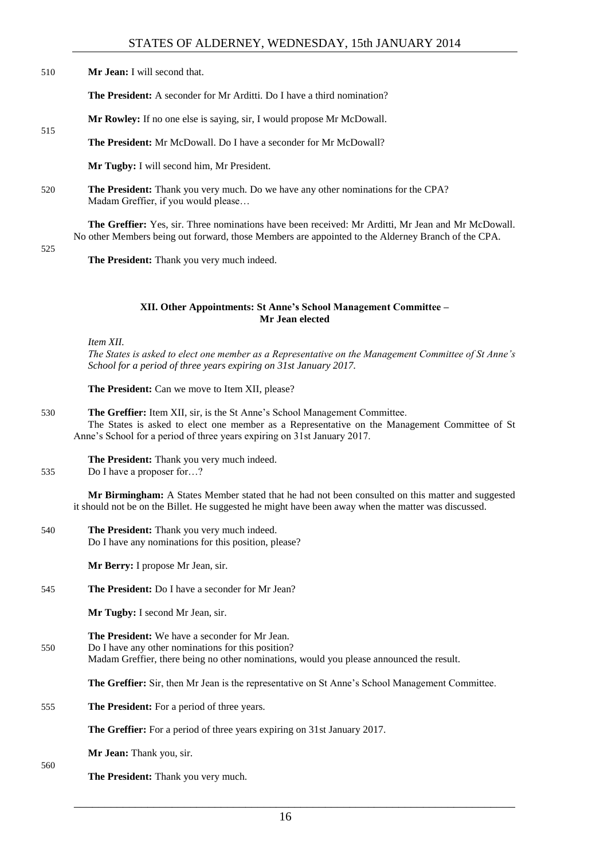510 **Mr Jean:** I will second that.

**The President:** A seconder for Mr Arditti. Do I have a third nomination?

**Mr Rowley:** If no one else is saying, sir, I would propose Mr McDowall.

**The President:** Mr McDowall. Do I have a seconder for Mr McDowall?

**Mr Tugby:** I will second him, Mr President.

520 **The President:** Thank you very much. Do we have any other nominations for the CPA? Madam Greffier, if you would please…

**The Greffier:** Yes, sir. Three nominations have been received: Mr Arditti, Mr Jean and Mr McDowall. No other Members being out forward, those Members are appointed to the Alderney Branch of the CPA.

525

515

**The President:** Thank you very much indeed.

#### **XII. Other Appointments: St Anne's School Management Committee – Mr Jean elected**

<span id="page-15-0"></span>*Item XII.*

*The States is asked to elect one member as a Representative on the Management Committee of St Anne's School for a period of three years expiring on 31st January 2017.* 

**The President:** Can we move to Item XII, please?

530 **The Greffier:** Item XII, sir, is the St Anne's School Management Committee. The States is asked to elect one member as a Representative on the Management Committee of St Anne's School for a period of three years expiring on 31st January 2017.

**The President:** Thank you very much indeed.

535 Do I have a proposer for…?

**Mr Birmingham:** A States Member stated that he had not been consulted on this matter and suggested it should not be on the Billet. He suggested he might have been away when the matter was discussed.

540 **The President:** Thank you very much indeed. Do I have any nominations for this position, please?

**Mr Berry:** I propose Mr Jean, sir.

545 **The President:** Do I have a seconder for Mr Jean?

**Mr Tugby:** I second Mr Jean, sir.

**The President:** We have a seconder for Mr Jean. 550 Do I have any other nominations for this position? Madam Greffier, there being no other nominations, would you please announced the result.

**The Greffier:** Sir, then Mr Jean is the representative on St Anne's School Management Committee.

555 **The President:** For a period of three years.

**The Greffier:** For a period of three years expiring on 31st January 2017.

**Mr Jean:** Thank you, sir.

560

**The President:** Thank you very much.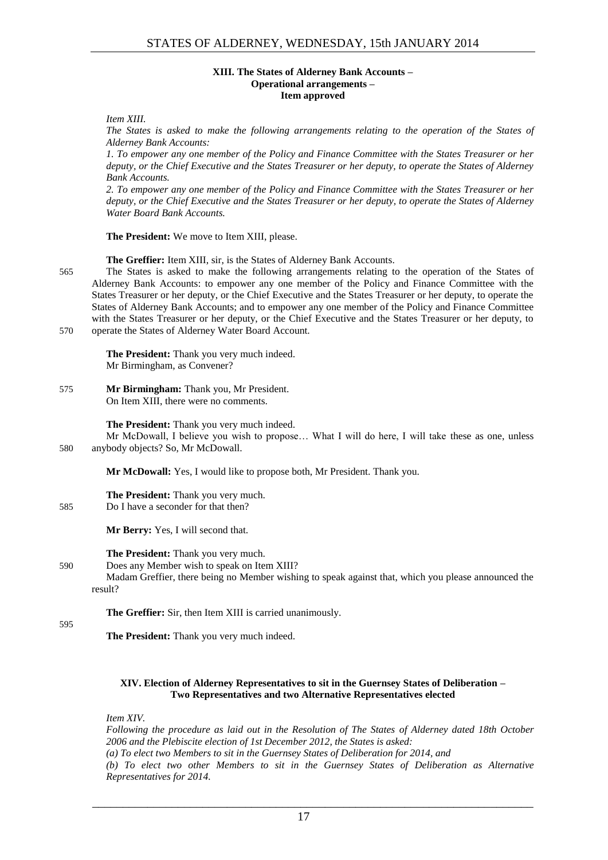#### **XIII. The States of Alderney Bank Accounts – Operational arrangements – Item approved**

<span id="page-16-0"></span>*Item XIII.*

*The States is asked to make the following arrangements relating to the operation of the States of Alderney Bank Accounts:*

*1. To empower any one member of the Policy and Finance Committee with the States Treasurer or her deputy, or the Chief Executive and the States Treasurer or her deputy, to operate the States of Alderney Bank Accounts.* 

*2. To empower any one member of the Policy and Finance Committee with the States Treasurer or her deputy, or the Chief Executive and the States Treasurer or her deputy, to operate the States of Alderney Water Board Bank Accounts.* 

**The President:** We move to Item XIII, please.

**The Greffier:** Item XIII, sir, is the States of Alderney Bank Accounts.

565 The States is asked to make the following arrangements relating to the operation of the States of Alderney Bank Accounts: to empower any one member of the Policy and Finance Committee with the States Treasurer or her deputy, or the Chief Executive and the States Treasurer or her deputy, to operate the States of Alderney Bank Accounts; and to empower any one member of the Policy and Finance Committee with the States Treasurer or her deputy, or the Chief Executive and the States Treasurer or her deputy, to 570 operate the States of Alderney Water Board Account.

**The President:** Thank you very much indeed. Mr Birmingham, as Convener?

575 **Mr Birmingham:** Thank you, Mr President. On Item XIII, there were no comments.

**The President:** Thank you very much indeed.

Mr McDowall, I believe you wish to propose… What I will do here, I will take these as one, unless 580 anybody objects? So, Mr McDowall.

**Mr McDowall:** Yes, I would like to propose both, Mr President. Thank you.

### **The President:** Thank you very much.

585 Do I have a seconder for that then?

**Mr Berry:** Yes, I will second that.

**The President:** Thank you very much.

590 Does any Member wish to speak on Item XIII?

Madam Greffier, there being no Member wishing to speak against that, which you please announced the result?

**The Greffier:** Sir, then Item XIII is carried unanimously.

595

**The President:** Thank you very much indeed.

#### <span id="page-16-1"></span>**XIV. Election of Alderney Representatives to sit in the Guernsey States of Deliberation – Two Representatives and two Alternative Representatives elected**

*Item XIV.*

*Following the procedure as laid out in the Resolution of The States of Alderney dated 18th October 2006 and the Plebiscite election of 1st December 2012, the States is asked: (a) To elect two Members to sit in the Guernsey States of Deliberation for 2014, and* 

*(b) To elect two other Members to sit in the Guernsey States of Deliberation as Alternative Representatives for 2014.*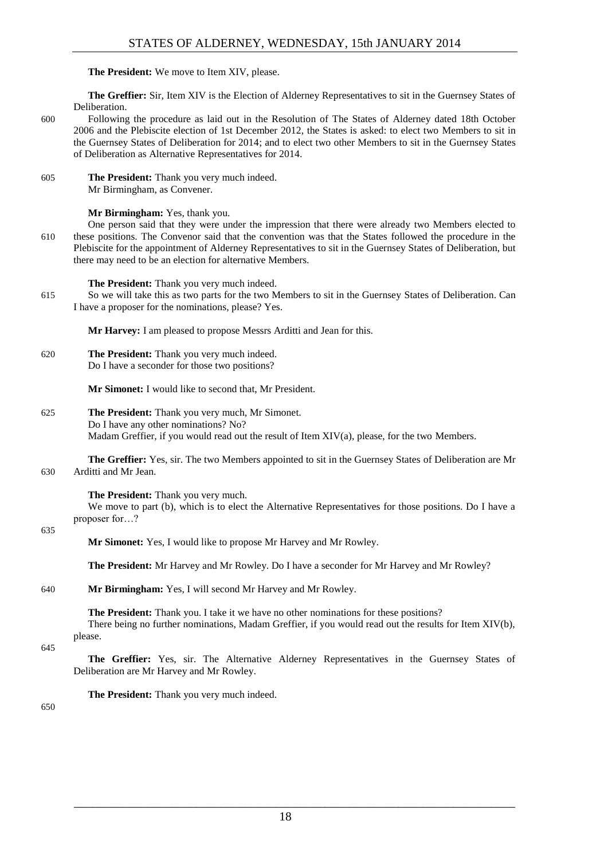**The President:** We move to Item XIV, please.

**The Greffier:** Sir, Item XIV is the Election of Alderney Representatives to sit in the Guernsey States of Deliberation.

- 600 Following the procedure as laid out in the Resolution of The States of Alderney dated 18th October 2006 and the Plebiscite election of 1st December 2012, the States is asked: to elect two Members to sit in the Guernsey States of Deliberation for 2014; and to elect two other Members to sit in the Guernsey States of Deliberation as Alternative Representatives for 2014.
- 605 **The President:** Thank you very much indeed. Mr Birmingham, as Convener.

#### **Mr Birmingham:** Yes, thank you.

One person said that they were under the impression that there were already two Members elected to 610 these positions. The Convenor said that the convention was that the States followed the procedure in the Plebiscite for the appointment of Alderney Representatives to sit in the Guernsey States of Deliberation, but there may need to be an election for alternative Members.

**The President:** Thank you very much indeed.

615 So we will take this as two parts for the two Members to sit in the Guernsey States of Deliberation. Can I have a proposer for the nominations, please? Yes.

**Mr Harvey:** I am pleased to propose Messrs Arditti and Jean for this.

620 **The President:** Thank you very much indeed. Do I have a seconder for those two positions?

**Mr Simonet:** I would like to second that, Mr President.

625 **The President:** Thank you very much, Mr Simonet. Do I have any other nominations? No? Madam Greffier, if you would read out the result of Item XIV(a), please, for the two Members.

**The Greffier:** Yes, sir. The two Members appointed to sit in the Guernsey States of Deliberation are Mr 630 Arditti and Mr Jean.

#### **The President:** Thank you very much.

We move to part (b), which is to elect the Alternative Representatives for those positions. Do I have a proposer for…?

#### 635

**Mr Simonet:** Yes, I would like to propose Mr Harvey and Mr Rowley.

**The President:** Mr Harvey and Mr Rowley. Do I have a seconder for Mr Harvey and Mr Rowley?

640 **Mr Birmingham:** Yes, I will second Mr Harvey and Mr Rowley.

**The President:** Thank you. I take it we have no other nominations for these positions? There being no further nominations, Madam Greffier, if you would read out the results for Item XIV(b), please.

645

**The Greffier:** Yes, sir. The Alternative Alderney Representatives in the Guernsey States of Deliberation are Mr Harvey and Mr Rowley.

**The President:** Thank you very much indeed.

650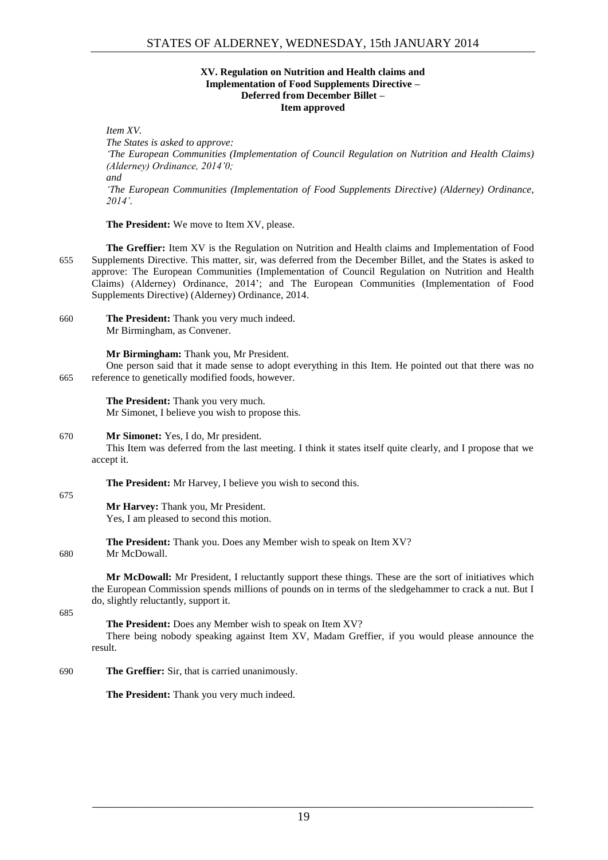#### **XV. Regulation on Nutrition and Health claims and Implementation of Food Supplements Directive – Deferred from December Billet – Item approved**

<span id="page-18-0"></span>*Item XV. The States is asked to approve: 'The European Communities (Implementation of Council Regulation on Nutrition and Health Claims) (Alderney) Ordinance, 2014'0; and 'The European Communities (Implementation of Food Supplements Directive) (Alderney) Ordinance, 2014'.*

**The President:** We move to Item XV, please.

**The Greffier:** Item XV is the Regulation on Nutrition and Health claims and Implementation of Food 655 Supplements Directive. This matter, sir, was deferred from the December Billet, and the States is asked to approve: The European Communities (Implementation of Council Regulation on Nutrition and Health Claims) (Alderney) Ordinance, 2014'; and The European Communities (Implementation of Food Supplements Directive) (Alderney) Ordinance, 2014.

660 **The President:** Thank you very much indeed. Mr Birmingham, as Convener.

**Mr Birmingham:** Thank you, Mr President.

One person said that it made sense to adopt everything in this Item. He pointed out that there was no 665 reference to genetically modified foods, however.

**The President:** Thank you very much.

Mr Simonet, I believe you wish to propose this.

#### 670 **Mr Simonet:** Yes, I do, Mr president.

This Item was deferred from the last meeting. I think it states itself quite clearly, and I propose that we accept it.

**The President:** Mr Harvey, I believe you wish to second this.

675

**Mr Harvey:** Thank you, Mr President.

Yes, I am pleased to second this motion.

**The President:** Thank you. Does any Member wish to speak on Item XV? 680 Mr McDowall.

**Mr McDowall:** Mr President, I reluctantly support these things. These are the sort of initiatives which the European Commission spends millions of pounds on in terms of the sledgehammer to crack a nut. But I do, slightly reluctantly, support it.

685

#### **The President:** Does any Member wish to speak on Item XV?

There being nobody speaking against Item XV, Madam Greffier, if you would please announce the result.

690 **The Greffier:** Sir, that is carried unanimously.

**The President:** Thank you very much indeed.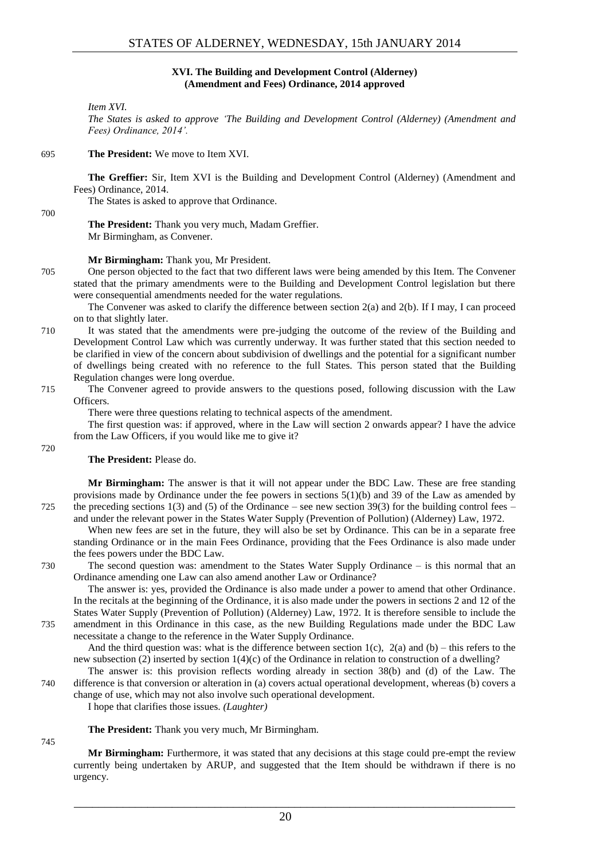#### **XVI. The Building and Development Control (Alderney) (Amendment and Fees) Ordinance, 2014 approved**

<span id="page-19-0"></span>*Item XVI.*

*The States is asked to approve 'The Building and Development Control (Alderney) (Amendment and Fees) Ordinance, 2014'.*

#### 695 **The President:** We move to Item XVI.

**The Greffier:** Sir, Item XVI is the Building and Development Control (Alderney) (Amendment and Fees) Ordinance, 2014.

The States is asked to approve that Ordinance.

700

#### **The President:** Thank you very much, Madam Greffier. Mr Birmingham, as Convener.

#### **Mr Birmingham:** Thank you, Mr President.

705 One person objected to the fact that two different laws were being amended by this Item. The Convener stated that the primary amendments were to the Building and Development Control legislation but there were consequential amendments needed for the water regulations.

The Convener was asked to clarify the difference between section 2(a) and 2(b). If I may, I can proceed on to that slightly later.

- 710 It was stated that the amendments were pre-judging the outcome of the review of the Building and Development Control Law which was currently underway. It was further stated that this section needed to be clarified in view of the concern about subdivision of dwellings and the potential for a significant number of dwellings being created with no reference to the full States. This person stated that the Building Regulation changes were long overdue.
- 715 The Convener agreed to provide answers to the questions posed, following discussion with the Law Officers.

There were three questions relating to technical aspects of the amendment.

The first question was: if approved, where in the Law will section 2 onwards appear? I have the advice from the Law Officers, if you would like me to give it?

#### **The President:** Please do.

**Mr Birmingham:** The answer is that it will not appear under the BDC Law. These are free standing provisions made by Ordinance under the fee powers in sections  $5(1)(b)$  and 39 of the Law as amended by 725 the preceding sections 1(3) and (5) of the Ordinance – see new section 39(3) for the building control fees – and under the relevant power in the States Water Supply (Prevention of Pollution) (Alderney) Law, 1972.

When new fees are set in the future, they will also be set by Ordinance. This can be in a separate free standing Ordinance or in the main Fees Ordinance, providing that the Fees Ordinance is also made under the fees powers under the BDC Law.

730 The second question was: amendment to the States Water Supply Ordinance – is this normal that an Ordinance amending one Law can also amend another Law or Ordinance?

The answer is: yes, provided the Ordinance is also made under a power to amend that other Ordinance. In the recitals at the beginning of the Ordinance, it is also made under the powers in sections 2 and 12 of the States Water Supply (Prevention of Pollution) (Alderney) Law, 1972. It is therefore sensible to include the

735 amendment in this Ordinance in this case, as the new Building Regulations made under the BDC Law necessitate a change to the reference in the Water Supply Ordinance.

And the third question was: what is the difference between section  $1(c)$ ,  $2(a)$  and  $(b)$  – this refers to the new subsection (2) inserted by section 1(4)(c) of the Ordinance in relation to construction of a dwelling?

The answer is: this provision reflects wording already in section 38(b) and (d) of the Law. The 740 difference is that conversion or alteration in (a) covers actual operational development, whereas (b) covers a change of use, which may not also involve such operational development.

I hope that clarifies those issues. *(Laughter)*

**The President:** Thank you very much, Mr Birmingham.

745

**Mr Birmingham:** Furthermore, it was stated that any decisions at this stage could pre-empt the review currently being undertaken by ARUP, and suggested that the Item should be withdrawn if there is no urgency.

\_\_\_\_\_\_\_\_\_\_\_\_\_\_\_\_\_\_\_\_\_\_\_\_\_\_\_\_\_\_\_\_\_\_\_\_\_\_\_\_\_\_\_\_\_\_\_\_\_\_\_\_\_\_\_\_\_\_\_\_\_\_\_\_\_\_\_\_\_\_\_\_

720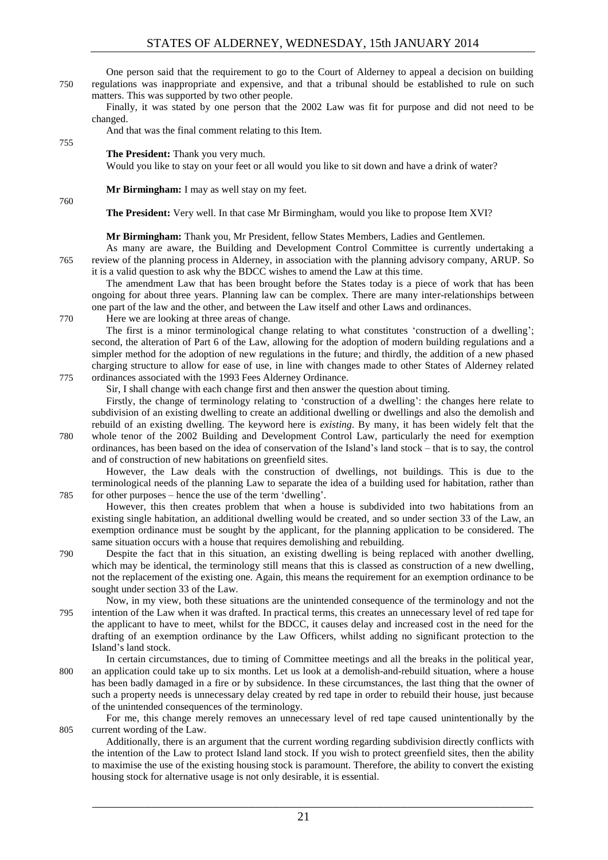One person said that the requirement to go to the Court of Alderney to appeal a decision on building 750 regulations was inappropriate and expensive, and that a tribunal should be established to rule on such matters. This was supported by two other people.

Finally, it was stated by one person that the 2002 Law was fit for purpose and did not need to be changed.

And that was the final comment relating to this Item.

#### **The President:** Thank you very much.

Would you like to stay on your feet or all would you like to sit down and have a drink of water?

**Mr Birmingham:** I may as well stay on my feet.

760

755

**The President:** Very well. In that case Mr Birmingham, would you like to propose Item XVI?

**Mr Birmingham:** Thank you, Mr President, fellow States Members, Ladies and Gentlemen.

As many are aware, the Building and Development Control Committee is currently undertaking a 765 review of the planning process in Alderney, in association with the planning advisory company, ARUP. So it is a valid question to ask why the BDCC wishes to amend the Law at this time.

The amendment Law that has been brought before the States today is a piece of work that has been ongoing for about three years. Planning law can be complex. There are many inter-relationships between one part of the law and the other, and between the Law itself and other Laws and ordinances.

770 Here we are looking at three areas of change.

The first is a minor terminological change relating to what constitutes 'construction of a dwelling'; second, the alteration of Part 6 of the Law, allowing for the adoption of modern building regulations and a simpler method for the adoption of new regulations in the future; and thirdly, the addition of a new phased charging structure to allow for ease of use, in line with changes made to other States of Alderney related 775 ordinances associated with the 1993 Fees Alderney Ordinance.

Sir, I shall change with each change first and then answer the question about timing.

Firstly, the change of terminology relating to 'construction of a dwelling': the changes here relate to subdivision of an existing dwelling to create an additional dwelling or dwellings and also the demolish and rebuild of an existing dwelling. The keyword here is *existing*. By many, it has been widely felt that the 780 whole tenor of the 2002 Building and Development Control Law, particularly the need for exemption ordinances, has been based on the idea of conservation of the Island's land stock – that is to say, the control and of construction of new habitations on greenfield sites.

However, the Law deals with the construction of dwellings, not buildings. This is due to the terminological needs of the planning Law to separate the idea of a building used for habitation, rather than 785 for other purposes – hence the use of the term 'dwelling'.

However, this then creates problem that when a house is subdivided into two habitations from an existing single habitation, an additional dwelling would be created, and so under section 33 of the Law, an exemption ordinance must be sought by the applicant, for the planning application to be considered. The same situation occurs with a house that requires demolishing and rebuilding.

790 Despite the fact that in this situation, an existing dwelling is being replaced with another dwelling, which may be identical, the terminology still means that this is classed as construction of a new dwelling. not the replacement of the existing one. Again, this means the requirement for an exemption ordinance to be sought under section 33 of the Law.

Now, in my view, both these situations are the unintended consequence of the terminology and not the 795 intention of the Law when it was drafted. In practical terms, this creates an unnecessary level of red tape for the applicant to have to meet, whilst for the BDCC, it causes delay and increased cost in the need for the drafting of an exemption ordinance by the Law Officers, whilst adding no significant protection to the Island's land stock.

In certain circumstances, due to timing of Committee meetings and all the breaks in the political year, 800 an application could take up to six months. Let us look at a demolish-and-rebuild situation, where a house has been badly damaged in a fire or by subsidence. In these circumstances, the last thing that the owner of such a property needs is unnecessary delay created by red tape in order to rebuild their house, just because of the unintended consequences of the terminology.

For me, this change merely removes an unnecessary level of red tape caused unintentionally by the 805 current wording of the Law.

Additionally, there is an argument that the current wording regarding subdivision directly conflicts with the intention of the Law to protect Island land stock. If you wish to protect greenfield sites, then the ability to maximise the use of the existing housing stock is paramount. Therefore, the ability to convert the existing housing stock for alternative usage is not only desirable, it is essential.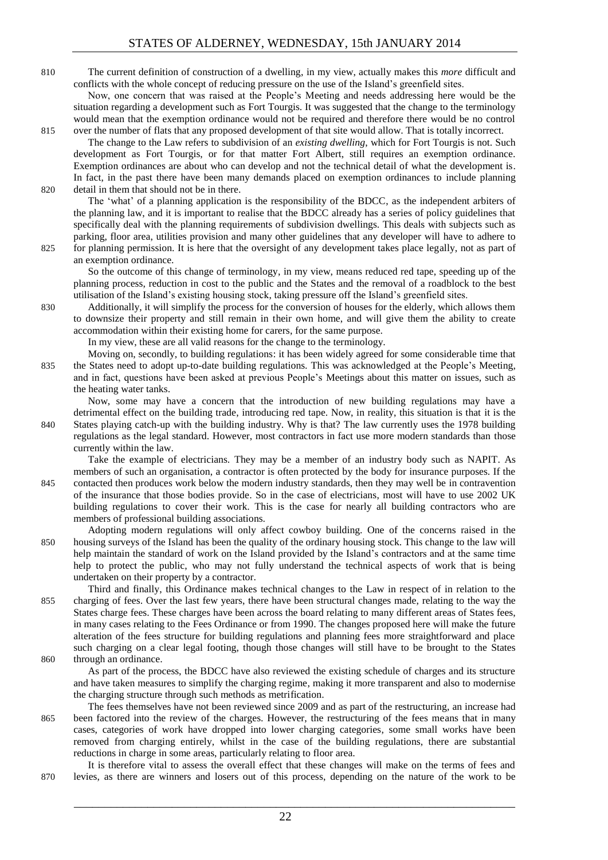810 The current definition of construction of a dwelling, in my view, actually makes this *more* difficult and conflicts with the whole concept of reducing pressure on the use of the Island's greenfield sites.

Now, one concern that was raised at the People's Meeting and needs addressing here would be the situation regarding a development such as Fort Tourgis. It was suggested that the change to the terminology would mean that the exemption ordinance would not be required and therefore there would be no control 815 over the number of flats that any proposed development of that site would allow. That is totally incorrect.

The change to the Law refers to subdivision of an *existing dwelling*, which for Fort Tourgis is not. Such development as Fort Tourgis, or for that matter Fort Albert, still requires an exemption ordinance. Exemption ordinances are about who can develop and not the technical detail of what the development is. In fact, in the past there have been many demands placed on exemption ordinances to include planning 820 detail in them that should not be in there.

The 'what' of a planning application is the responsibility of the BDCC, as the independent arbiters of the planning law, and it is important to realise that the BDCC already has a series of policy guidelines that specifically deal with the planning requirements of subdivision dwellings. This deals with subjects such as parking, floor area, utilities provision and many other guidelines that any developer will have to adhere to

825 for planning permission. It is here that the oversight of any development takes place legally, not as part of an exemption ordinance.

So the outcome of this change of terminology, in my view, means reduced red tape, speeding up of the planning process, reduction in cost to the public and the States and the removal of a roadblock to the best utilisation of the Island's existing housing stock, taking pressure off the Island's greenfield sites.

830 Additionally, it will simplify the process for the conversion of houses for the elderly, which allows them to downsize their property and still remain in their own home, and will give them the ability to create accommodation within their existing home for carers, for the same purpose.

In my view, these are all valid reasons for the change to the terminology.

Moving on, secondly, to building regulations: it has been widely agreed for some considerable time that 835 the States need to adopt up-to-date building regulations. This was acknowledged at the People's Meeting, and in fact, questions have been asked at previous People's Meetings about this matter on issues, such as the heating water tanks.

Now, some may have a concern that the introduction of new building regulations may have a detrimental effect on the building trade, introducing red tape. Now, in reality, this situation is that it is the 840 States playing catch-up with the building industry. Why is that? The law currently uses the 1978 building regulations as the legal standard. However, most contractors in fact use more modern standards than those currently within the law.

Take the example of electricians. They may be a member of an industry body such as NAPIT. As members of such an organisation, a contractor is often protected by the body for insurance purposes. If the 845 contacted then produces work below the modern industry standards, then they may well be in contravention of the insurance that those bodies provide. So in the case of electricians, most will have to use 2002 UK building regulations to cover their work. This is the case for nearly all building contractors who are members of professional building associations.

- Adopting modern regulations will only affect cowboy building. One of the concerns raised in the 850 housing surveys of the Island has been the quality of the ordinary housing stock. This change to the law will help maintain the standard of work on the Island provided by the Island's contractors and at the same time help to protect the public, who may not fully understand the technical aspects of work that is being undertaken on their property by a contractor.
- Third and finally, this Ordinance makes technical changes to the Law in respect of in relation to the 855 charging of fees. Over the last few years, there have been structural changes made, relating to the way the States charge fees. These charges have been across the board relating to many different areas of States fees, in many cases relating to the Fees Ordinance or from 1990. The changes proposed here will make the future alteration of the fees structure for building regulations and planning fees more straightforward and place such charging on a clear legal footing, though those changes will still have to be brought to the States 860 through an ordinance.

As part of the process, the BDCC have also reviewed the existing schedule of charges and its structure and have taken measures to simplify the charging regime, making it more transparent and also to modernise the charging structure through such methods as metrification.

The fees themselves have not been reviewed since 2009 and as part of the restructuring, an increase had 865 been factored into the review of the charges. However, the restructuring of the fees means that in many cases, categories of work have dropped into lower charging categories, some small works have been removed from charging entirely, whilst in the case of the building regulations, there are substantial reductions in charge in some areas, particularly relating to floor area.

It is therefore vital to assess the overall effect that these changes will make on the terms of fees and 870 levies, as there are winners and losers out of this process, depending on the nature of the work to be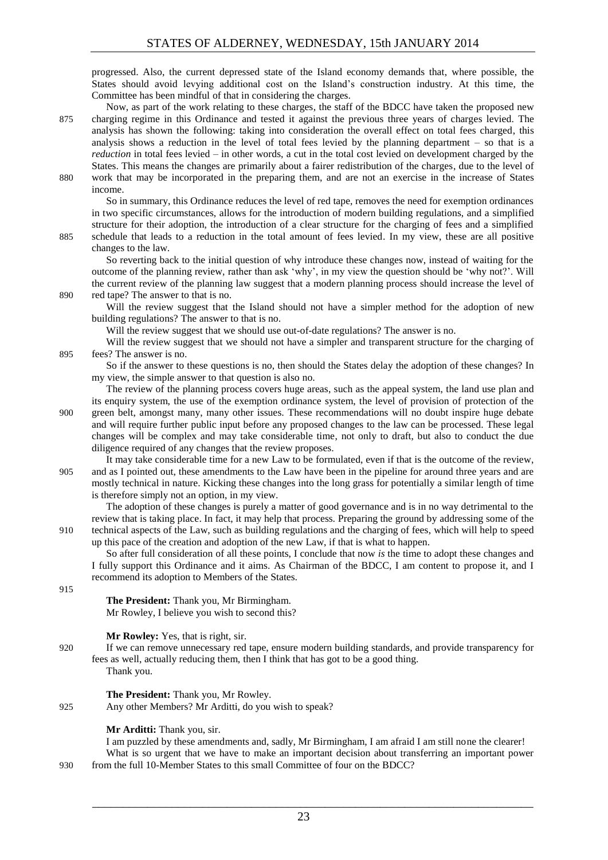progressed. Also, the current depressed state of the Island economy demands that, where possible, the States should avoid levying additional cost on the Island's construction industry. At this time, the Committee has been mindful of that in considering the charges.

Now, as part of the work relating to these charges, the staff of the BDCC have taken the proposed new 875 charging regime in this Ordinance and tested it against the previous three years of charges levied. The analysis has shown the following: taking into consideration the overall effect on total fees charged, this analysis shows a reduction in the level of total fees levied by the planning department  $-$  so that is a *reduction* in total fees levied – in other words, a cut in the total cost levied on development charged by the States. This means the changes are primarily about a fairer redistribution of the charges, due to the level of 880 work that may be incorporated in the preparing them, and are not an exercise in the increase of States

income.

So in summary, this Ordinance reduces the level of red tape, removes the need for exemption ordinances in two specific circumstances, allows for the introduction of modern building regulations, and a simplified structure for their adoption, the introduction of a clear structure for the charging of fees and a simplified 885 schedule that leads to a reduction in the total amount of fees levied. In my view, these are all positive

changes to the law. So reverting back to the initial question of why introduce these changes now, instead of waiting for the outcome of the planning review, rather than ask 'why', in my view the question should be 'why not?'. Will the current review of the planning law suggest that a modern planning process should increase the level of 890 red tape? The answer to that is no.

Will the review suggest that the Island should not have a simpler method for the adoption of new building regulations? The answer to that is no.

Will the review suggest that we should use out-of-date regulations? The answer is no.

Will the review suggest that we should not have a simpler and transparent structure for the charging of 895 fees? The answer is no.

So if the answer to these questions is no, then should the States delay the adoption of these changes? In my view, the simple answer to that question is also no.

The review of the planning process covers huge areas, such as the appeal system, the land use plan and its enquiry system, the use of the exemption ordinance system, the level of provision of protection of the 900 green belt, amongst many, many other issues. These recommendations will no doubt inspire huge debate and will require further public input before any proposed changes to the law can be processed. These legal changes will be complex and may take considerable time, not only to draft, but also to conduct the due diligence required of any changes that the review proposes.

It may take considerable time for a new Law to be formulated, even if that is the outcome of the review, 905 and as I pointed out, these amendments to the Law have been in the pipeline for around three years and are mostly technical in nature. Kicking these changes into the long grass for potentially a similar length of time is therefore simply not an option, in my view.

The adoption of these changes is purely a matter of good governance and is in no way detrimental to the review that is taking place. In fact, it may help that process. Preparing the ground by addressing some of the 910 technical aspects of the Law, such as building regulations and the charging of fees, which will help to speed up this pace of the creation and adoption of the new Law, if that is what to happen.

So after full consideration of all these points, I conclude that now *is* the time to adopt these changes and I fully support this Ordinance and it aims. As Chairman of the BDCC, I am content to propose it, and I recommend its adoption to Members of the States.

915

**The President:** Thank you, Mr Birmingham. Mr Rowley, I believe you wish to second this?

**Mr Rowley:** Yes, that is right, sir.

920 If we can remove unnecessary red tape, ensure modern building standards, and provide transparency for fees as well, actually reducing them, then I think that has got to be a good thing. Thank you.

**The President:** Thank you, Mr Rowley. 925 Any other Members? Mr Arditti, do you wish to speak?

**Mr Arditti:** Thank you, sir.

I am puzzled by these amendments and, sadly, Mr Birmingham, I am afraid I am still none the clearer! What is so urgent that we have to make an important decision about transferring an important power

930 from the full 10-Member States to this small Committee of four on the BDCC?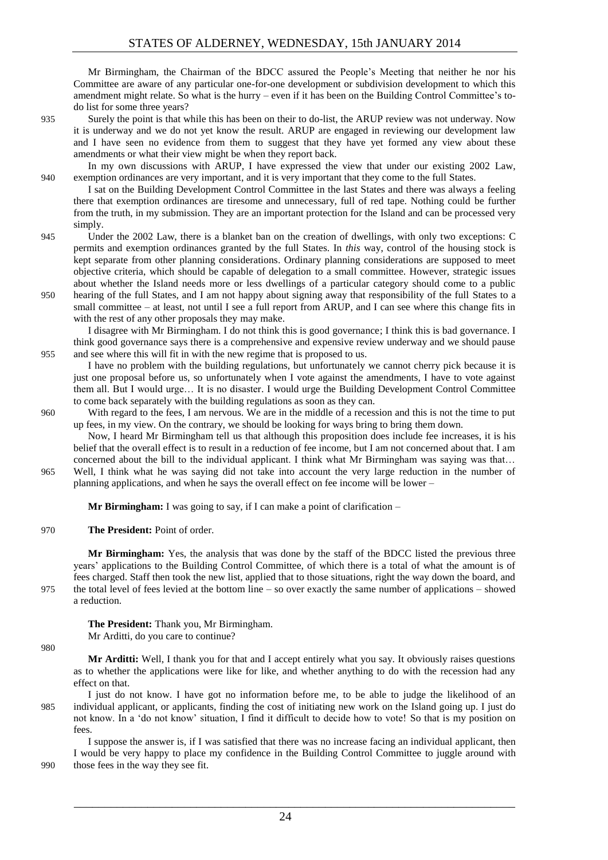Mr Birmingham, the Chairman of the BDCC assured the People's Meeting that neither he nor his Committee are aware of any particular one-for-one development or subdivision development to which this amendment might relate. So what is the hurry – even if it has been on the Building Control Committee's todo list for some three years?

935 Surely the point is that while this has been on their to do-list, the ARUP review was not underway. Now it is underway and we do not yet know the result. ARUP are engaged in reviewing our development law and I have seen no evidence from them to suggest that they have yet formed any view about these amendments or what their view might be when they report back.

In my own discussions with ARUP, I have expressed the view that under our existing 2002 Law, 940 exemption ordinances are very important, and it is very important that they come to the full States.

I sat on the Building Development Control Committee in the last States and there was always a feeling there that exemption ordinances are tiresome and unnecessary, full of red tape. Nothing could be further from the truth, in my submission. They are an important protection for the Island and can be processed very simply.

945 Under the 2002 Law, there is a blanket ban on the creation of dwellings, with only two exceptions: C permits and exemption ordinances granted by the full States. In *this* way, control of the housing stock is kept separate from other planning considerations. Ordinary planning considerations are supposed to meet objective criteria, which should be capable of delegation to a small committee. However, strategic issues about whether the Island needs more or less dwellings of a particular category should come to a public

950 hearing of the full States, and I am not happy about signing away that responsibility of the full States to a small committee – at least, not until I see a full report from ARUP, and I can see where this change fits in with the rest of any other proposals they may make.

I disagree with Mr Birmingham. I do not think this is good governance; I think this is bad governance. I think good governance says there is a comprehensive and expensive review underway and we should pause 955 and see where this will fit in with the new regime that is proposed to us.

I have no problem with the building regulations, but unfortunately we cannot cherry pick because it is just one proposal before us, so unfortunately when I vote against the amendments, I have to vote against them all. But I would urge… It is no disaster. I would urge the Building Development Control Committee to come back separately with the building regulations as soon as they can.

960 With regard to the fees, I am nervous. We are in the middle of a recession and this is not the time to put up fees, in my view. On the contrary, we should be looking for ways bring to bring them down.

Now, I heard Mr Birmingham tell us that although this proposition does include fee increases, it is his belief that the overall effect is to result in a reduction of fee income, but I am not concerned about that. I am concerned about the bill to the individual applicant. I think what Mr Birmingham was saying was that… 965 Well, I think what he was saying did not take into account the very large reduction in the number of planning applications, and when he says the overall effect on fee income will be lower –

**Mr Birmingham:** I was going to say, if I can make a point of clarification –

970 **The President:** Point of order.

**Mr Birmingham:** Yes, the analysis that was done by the staff of the BDCC listed the previous three years' applications to the Building Control Committee, of which there is a total of what the amount is of fees charged. Staff then took the new list, applied that to those situations, right the way down the board, and 975 the total level of fees levied at the bottom line – so over exactly the same number of applications – showed a reduction.

**The President:** Thank you, Mr Birmingham.

Mr Arditti, do you care to continue?

980

**Mr Arditti:** Well, I thank you for that and I accept entirely what you say. It obviously raises questions as to whether the applications were like for like, and whether anything to do with the recession had any effect on that.

I just do not know. I have got no information before me, to be able to judge the likelihood of an 985 individual applicant, or applicants, finding the cost of initiating new work on the Island going up. I just do not know. In a 'do not know' situation, I find it difficult to decide how to vote! So that is my position on fees.

I suppose the answer is, if I was satisfied that there was no increase facing an individual applicant, then I would be very happy to place my confidence in the Building Control Committee to juggle around with 990 those fees in the way they see fit.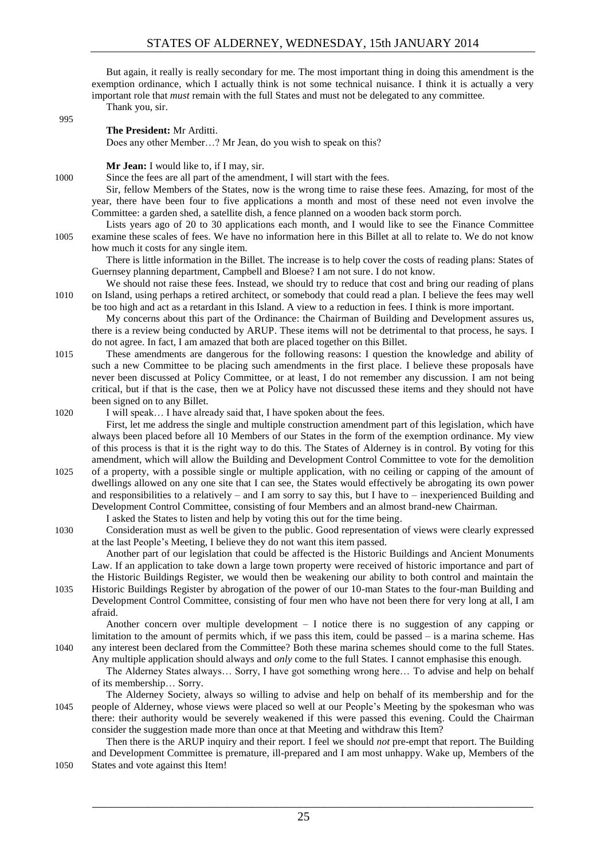But again, it really is really secondary for me. The most important thing in doing this amendment is the exemption ordinance, which I actually think is not some technical nuisance. I think it is actually a very important role that *must* remain with the full States and must not be delegated to any committee. Thank you, sir.

995

#### **The President:** Mr Arditti.

Does any other Member…? Mr Jean, do you wish to speak on this?

**Mr Jean:** I would like to, if I may, sir.

1000 Since the fees are all part of the amendment, I will start with the fees.

Sir, fellow Members of the States, now is the wrong time to raise these fees. Amazing, for most of the year, there have been four to five applications a month and most of these need not even involve the Committee: a garden shed, a satellite dish, a fence planned on a wooden back storm porch.

Lists years ago of 20 to 30 applications each month, and I would like to see the Finance Committee 1005 examine these scales of fees. We have no information here in this Billet at all to relate to. We do not know how much it costs for any single item.

There is little information in the Billet. The increase is to help cover the costs of reading plans: States of Guernsey planning department, Campbell and Bloese? I am not sure. I do not know.

We should not raise these fees. Instead, we should try to reduce that cost and bring our reading of plans 1010 on Island, using perhaps a retired architect, or somebody that could read a plan. I believe the fees may well be too high and act as a retardant in this Island. A view to a reduction in fees. I think is more important.

My concerns about this part of the Ordinance: the Chairman of Building and Development assures us, there is a review being conducted by ARUP. These items will not be detrimental to that process, he says. I do not agree. In fact, I am amazed that both are placed together on this Billet.

- 1015 These amendments are dangerous for the following reasons: I question the knowledge and ability of such a new Committee to be placing such amendments in the first place. I believe these proposals have never been discussed at Policy Committee, or at least, I do not remember any discussion. I am not being critical, but if that is the case, then we at Policy have not discussed these items and they should not have been signed on to any Billet.
- 1020 I will speak… I have already said that, I have spoken about the fees.

First, let me address the single and multiple construction amendment part of this legislation, which have always been placed before all 10 Members of our States in the form of the exemption ordinance. My view of this process is that it is the right way to do this. The States of Alderney is in control. By voting for this amendment, which will allow the Building and Development Control Committee to vote for the demolition 1025 of a property, with a possible single or multiple application, with no ceiling or capping of the amount of dwellings allowed on any one site that I can see, the States would effectively be abrogating its own power and responsibilities to a relatively – and I am sorry to say this, but I have to – inexperienced Building and Development Control Committee, consisting of four Members and an almost brand-new Chairman.

I asked the States to listen and help by voting this out for the time being.

1030 Consideration must as well be given to the public. Good representation of views were clearly expressed at the last People's Meeting, I believe they do not want this item passed.

Another part of our legislation that could be affected is the Historic Buildings and Ancient Monuments Law. If an application to take down a large town property were received of historic importance and part of the Historic Buildings Register, we would then be weakening our ability to both control and maintain the 1035 Historic Buildings Register by abrogation of the power of our 10-man States to the four-man Building and Development Control Committee, consisting of four men who have not been there for very long at all, I am afraid.

Another concern over multiple development  $-1$  notice there is no suggestion of any capping or limitation to the amount of permits which, if we pass this item, could be passed – is a marina scheme. Has 1040 any interest been declared from the Committee? Both these marina schemes should come to the full States. Any multiple application should always and *only* come to the full States. I cannot emphasise this enough.

The Alderney States always… Sorry, I have got something wrong here… To advise and help on behalf of its membership… Sorry.

The Alderney Society, always so willing to advise and help on behalf of its membership and for the 1045 people of Alderney, whose views were placed so well at our People's Meeting by the spokesman who was there: their authority would be severely weakened if this were passed this evening. Could the Chairman consider the suggestion made more than once at that Meeting and withdraw this Item?

Then there is the ARUP inquiry and their report. I feel we should *not* pre-empt that report. The Building and Development Committee is premature, ill-prepared and I am most unhappy. Wake up, Members of the 1050 States and vote against this Item!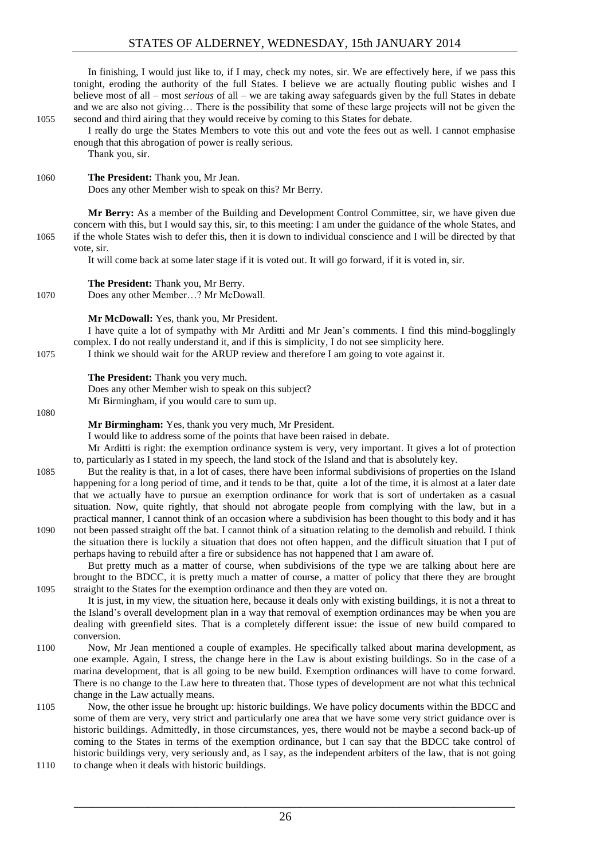### STATES OF ALDERNEY, WEDNESDAY, 15th JANUARY 2014

In finishing, I would just like to, if I may, check my notes, sir. We are effectively here, if we pass this tonight, eroding the authority of the full States. I believe we are actually flouting public wishes and I believe most of all – most *serious* of all – we are taking away safeguards given by the full States in debate and we are also not giving… There is the possibility that some of these large projects will not be given the 1055 second and third airing that they would receive by coming to this States for debate.

I really do urge the States Members to vote this out and vote the fees out as well. I cannot emphasise enough that this abrogation of power is really serious.

Thank you, sir.

#### 1060 **The President:** Thank you, Mr Jean.

Does any other Member wish to speak on this? Mr Berry.

**Mr Berry:** As a member of the Building and Development Control Committee, sir, we have given due concern with this, but I would say this, sir, to this meeting: I am under the guidance of the whole States, and 1065 if the whole States wish to defer this, then it is down to individual conscience and I will be directed by that vote, sir.

It will come back at some later stage if it is voted out. It will go forward, if it is voted in, sir.

**The President:** Thank you, Mr Berry. 1070 Does any other Member…? Mr McDowall.

#### **Mr McDowall:** Yes, thank you, Mr President.

I have quite a lot of sympathy with Mr Arditti and Mr Jean's comments. I find this mind-bogglingly complex. I do not really understand it, and if this is simplicity, I do not see simplicity here.

1075 I think we should wait for the ARUP review and therefore I am going to vote against it.

#### **The President:** Thank you very much.

Does any other Member wish to speak on this subject? Mr Birmingham, if you would care to sum up.

#### 1080

**Mr Birmingham:** Yes, thank you very much, Mr President.

I would like to address some of the points that have been raised in debate.

Mr Arditti is right: the exemption ordinance system is very, very important. It gives a lot of protection to, particularly as I stated in my speech, the land stock of the Island and that is absolutely key.

- 1085 But the reality is that, in a lot of cases, there have been informal subdivisions of properties on the Island happening for a long period of time, and it tends to be that, quite a lot of the time, it is almost at a later date that we actually have to pursue an exemption ordinance for work that is sort of undertaken as a casual situation. Now, quite rightly, that should not abrogate people from complying with the law, but in a practical manner, I cannot think of an occasion where a subdivision has been thought to this body and it has 1090 not been passed straight off the bat. I cannot think of a situation relating to the demolish and rebuild. I think
- the situation there is luckily a situation that does not often happen, and the difficult situation that I put of perhaps having to rebuild after a fire or subsidence has not happened that I am aware of.

But pretty much as a matter of course, when subdivisions of the type we are talking about here are brought to the BDCC, it is pretty much a matter of course, a matter of policy that there they are brought 1095 straight to the States for the exemption ordinance and then they are voted on.

It is just, in my view, the situation here, because it deals only with existing buildings, it is not a threat to the Island's overall development plan in a way that removal of exemption ordinances may be when you are dealing with greenfield sites. That is a completely different issue: the issue of new build compared to conversion.

- 1100 Now, Mr Jean mentioned a couple of examples. He specifically talked about marina development, as one example. Again, I stress, the change here in the Law is about existing buildings. So in the case of a marina development, that is all going to be new build. Exemption ordinances will have to come forward. There is no change to the Law here to threaten that. Those types of development are not what this technical change in the Law actually means.
- 1105 Now, the other issue he brought up: historic buildings. We have policy documents within the BDCC and some of them are very, very strict and particularly one area that we have some very strict guidance over is historic buildings. Admittedly, in those circumstances, yes, there would not be maybe a second back-up of coming to the States in terms of the exemption ordinance, but I can say that the BDCC take control of historic buildings very, very seriously and, as I say, as the independent arbiters of the law, that is not going
- 1110 to change when it deals with historic buildings.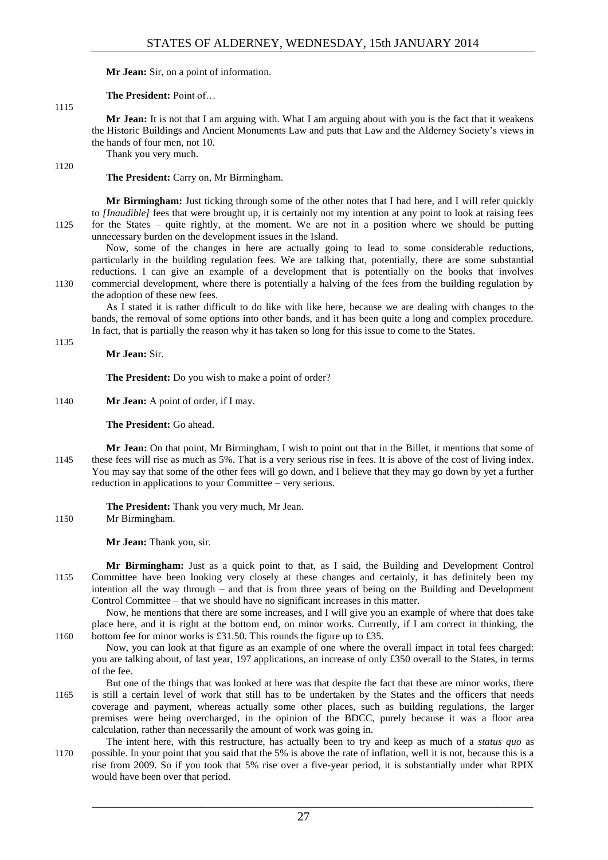**Mr Jean:** Sir, on a point of information.

**The President:** Point of…

1115

1120

1135

**Mr Jean:** It is not that I am arguing with. What I am arguing about with you is the fact that it weakens the Historic Buildings and Ancient Monuments Law and puts that Law and the Alderney Society's views in the hands of four men, not 10.

Thank you very much.

**The President:** Carry on, Mr Birmingham.

**Mr Birmingham:** Just ticking through some of the other notes that I had here, and I will refer quickly to *[Inaudible]* fees that were brought up, it is certainly not my intention at any point to look at raising fees 1125 for the States – quite rightly, at the moment. We are not in a position where we should be putting unnecessary burden on the development issues in the Island.

Now, some of the changes in here are actually going to lead to some considerable reductions, particularly in the building regulation fees. We are talking that, potentially, there are some substantial reductions. I can give an example of a development that is potentially on the books that involves 1130 commercial development, where there is potentially a halving of the fees from the building regulation by the adoption of these new fees.

As I stated it is rather difficult to do like with like here, because we are dealing with changes to the bands, the removal of some options into other bands, and it has been quite a long and complex procedure. In fact, that is partially the reason why it has taken so long for this issue to come to the States.

**Mr Jean:** Sir.

**The President:** Do you wish to make a point of order?

1140 **Mr Jean:** A point of order, if I may.

**The President:** Go ahead.

**Mr Jean:** On that point, Mr Birmingham, I wish to point out that in the Billet, it mentions that some of 1145 these fees will rise as much as 5%. That is a very serious rise in fees. It is above of the cost of living index. You may say that some of the other fees will go down, and I believe that they may go down by yet a further reduction in applications to your Committee – very serious.

**The President:** Thank you very much, Mr Jean.

1150 Mr Birmingham.

**Mr Jean:** Thank you, sir.

**Mr Birmingham:** Just as a quick point to that, as I said, the Building and Development Control 1155 Committee have been looking very closely at these changes and certainly, it has definitely been my intention all the way through – and that is from three years of being on the Building and Development Control Committee – that we should have no significant increases in this matter.

Now, he mentions that there are some increases, and I will give you an example of where that does take place here, and it is right at the bottom end, on minor works. Currently, if I am correct in thinking, the 1160 bottom fee for minor works is £31.50. This rounds the figure up to £35.

Now, you can look at that figure as an example of one where the overall impact in total fees charged: you are talking about, of last year, 197 applications, an increase of only £350 overall to the States, in terms of the fee.

- But one of the things that was looked at here was that despite the fact that these are minor works, there 1165 is still a certain level of work that still has to be undertaken by the States and the officers that needs coverage and payment, whereas actually some other places, such as building regulations, the larger premises were being overcharged, in the opinion of the BDCC, purely because it was a floor area calculation, rather than necessarily the amount of work was going in.
- The intent here, with this restructure, has actually been to try and keep as much of a *status quo* as 1170 possible. In your point that you said that the 5% is above the rate of inflation, well it is not, because this is a rise from 2009. So if you took that 5% rise over a five-year period, it is substantially under what RPIX would have been over that period.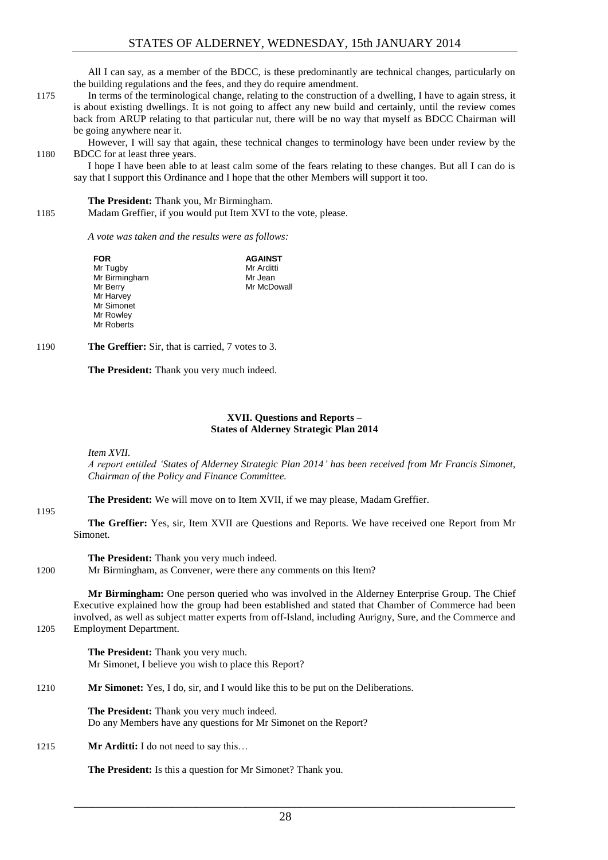All I can say, as a member of the BDCC, is these predominantly are technical changes, particularly on the building regulations and the fees, and they do require amendment.

- 1175 In terms of the terminological change, relating to the construction of a dwelling, I have to again stress, it is about existing dwellings. It is not going to affect any new build and certainly, until the review comes back from ARUP relating to that particular nut, there will be no way that myself as BDCC Chairman will be going anywhere near it.
- However, I will say that again, these technical changes to terminology have been under review by the 1180 BDCC for at least three years.

I hope I have been able to at least calm some of the fears relating to these changes. But all I can do is say that I support this Ordinance and I hope that the other Members will support it too.

**The President:** Thank you, Mr Birmingham.

1185 Madam Greffier, if you would put Item XVI to the vote, please.

*A vote was taken and the results were as follows:*

| <b>FOR</b>    | <b>AGAINST</b> |
|---------------|----------------|
| Mr Tugby      | Mr Arditti     |
| Mr Birmingham | Mr Jean        |
| Mr Berry      | Mr McDowall    |
| Mr Harvey     |                |
| Mr Simonet    |                |
| Mr Rowley     |                |
| Mr Roberts    |                |

1190 **The Greffier:** Sir, that is carried, 7 votes to 3.

**The President:** Thank you very much indeed.

#### **XVII. Questions and Reports – States of Alderney Strategic Plan 2014**

<span id="page-27-0"></span>*Item XVII.*

1195

*A report entitled 'States of Alderney Strategic Plan 2014' has been received from Mr Francis Simonet, Chairman of the Policy and Finance Committee.*

**The President:** We will move on to Item XVII, if we may please, Madam Greffier.

**The Greffier:** Yes, sir, Item XVII are Questions and Reports. We have received one Report from Mr Simonet.

**The President:** Thank you very much indeed. 1200 Mr Birmingham, as Convener, were there any comments on this Item?

**Mr Birmingham:** One person queried who was involved in the Alderney Enterprise Group. The Chief Executive explained how the group had been established and stated that Chamber of Commerce had been involved, as well as subject matter experts from off-Island, including Aurigny, Sure, and the Commerce and 1205 Employment Department.

> **The President:** Thank you very much. Mr Simonet, I believe you wish to place this Report?

1210 **Mr Simonet:** Yes, I do, sir, and I would like this to be put on the Deliberations.

**The President:** Thank you very much indeed. Do any Members have any questions for Mr Simonet on the Report?

1215 **Mr Arditti:** I do not need to say this...

**The President:** Is this a question for Mr Simonet? Thank you.